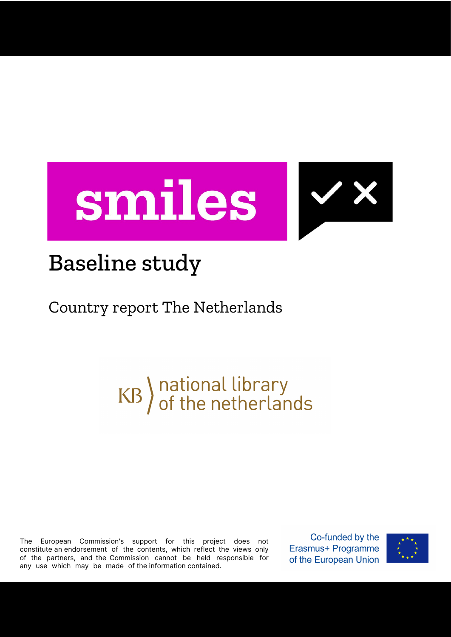



## Baseline study

## Country report The Netherlands

# KB) national library<br>of the netherlands

The European Commission's support for this project does not constitute an endorsement of the contents, which reflect the views only of the partners, and the Commission cannot be held responsible for any use which may be made of the information contained.

Co-funded by the Erasmus+ Programme of the European Union

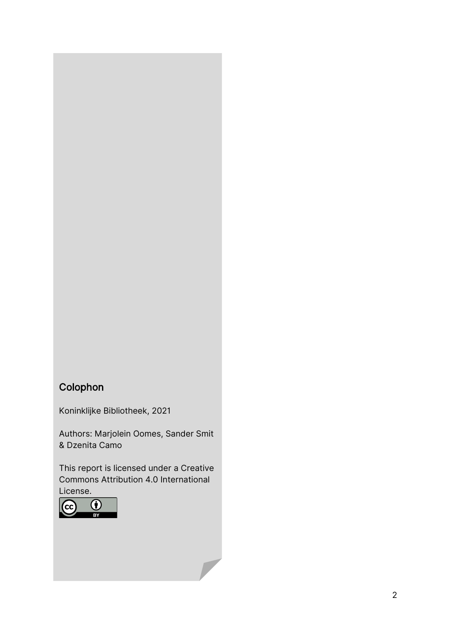#### Colophon

Koninklijke Bibliotheek, 2021

Authors: Marjolein Oomes, Sander Smit & Dzenita Camo

This report is licensed under a Creative Commons Attribution 4.0 International License.

 $\overline{\phantom{a}}$ 

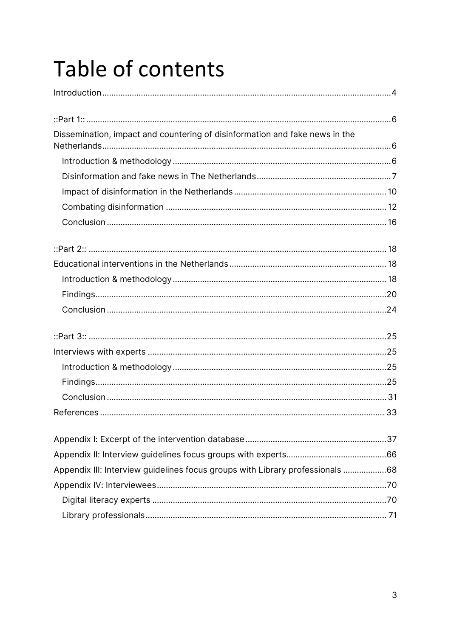## Table of contents

| Dissemination, impact and countering of disinformation and fake news in the   |  |
|-------------------------------------------------------------------------------|--|
|                                                                               |  |
|                                                                               |  |
|                                                                               |  |
|                                                                               |  |
|                                                                               |  |
|                                                                               |  |
|                                                                               |  |
|                                                                               |  |
|                                                                               |  |
|                                                                               |  |
|                                                                               |  |
|                                                                               |  |
|                                                                               |  |
|                                                                               |  |
|                                                                               |  |
|                                                                               |  |
|                                                                               |  |
|                                                                               |  |
|                                                                               |  |
|                                                                               |  |
|                                                                               |  |
| Appendix III: Interview guidelines focus groups with Library professionals 68 |  |
|                                                                               |  |
|                                                                               |  |
|                                                                               |  |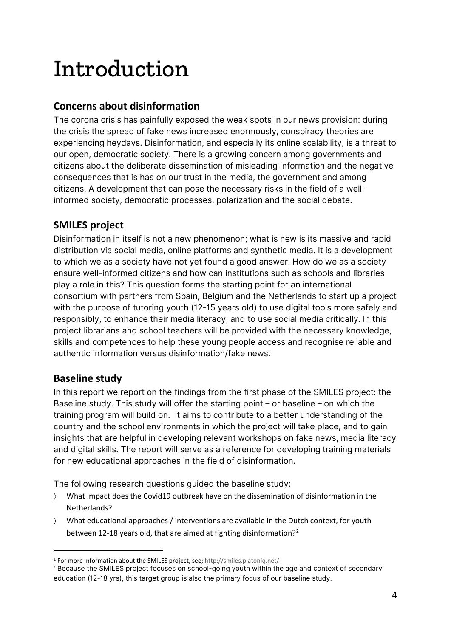## Introduction

#### **Concerns about disinformation**

The corona crisis has painfully exposed the weak spots in our news provision: during the crisis the spread of fake news increased enormously, conspiracy theories are experiencing heydays. Disinformation, and especially its online scalability, is a threat to our open, democratic society. There is a growing concern among governments and citizens about the deliberate dissemination of misleading information and the negative consequences that is has on our trust in the media, the government and among citizens. A development that can pose the necessary risks in the field of a wellinformed society, democratic processes, polarization and the social debate.

#### **SMILES project**

Disinformation in itself is not a new phenomenon; what is new is its massive and rapid distribution via social media, online platforms and synthetic media. It is a development to which we as a society have not yet found a good answer. How do we as a society ensure well-informed citizens and how can institutions such as schools and libraries play a role in this? This question forms the starting point for an international consortium with partners from Spain, Belgium and the Netherlands to start up a project with the purpose of tutoring youth (12-15 years old) to use digital tools more safely and responsibly, to enhance their media literacy, and to use social media critically. In this project librarians and school teachers will be provided with the necessary knowledge, skills and competences to help these young people access and recognise reliable and authentic information versus disinformation/fake news.<sup>[1](#page-3-0)</sup>

#### **Baseline study**

In this report we report on the findings from the first phase of the SMILES project: the Baseline study. This study will offer the starting point – or baseline – on which the training program will build on. It aims to contribute to a better understanding of the country and the school environments in which the project will take place, and to gain insights that are helpful in developing relevant workshops on fake news, media literacy and digital skills. The report will serve as a reference for developing training materials for new educational approaches in the field of disinformation.

The following research questions guided the baseline study:

- 〉 What impact does the Covid19 outbreak have on the dissemination of disinformation in the Netherlands?
- 〉 What educational approaches / interventions are available in the Dutch context, for youth between 1[2](#page-3-1)-18 years old, that are aimed at fighting disinformation?<sup>2</sup>

<span id="page-3-0"></span><sup>1</sup> For more information about the SMILES project, see[; http://smiles.platoniq.net/](http://smiles.platoniq.net/)

<span id="page-3-1"></span><sup>&</sup>lt;sup>2</sup> Because the SMILES project focuses on school-going youth within the age and context of secondary education (12-18 yrs), this target group is also the primary focus of our baseline study.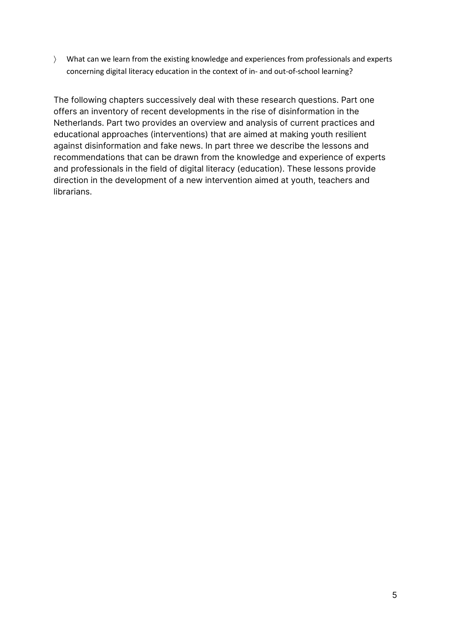〉 What can we learn from the existing knowledge and experiences from professionals and experts concerning digital literacy education in the context of in- and out-of-school learning?

The following chapters successively deal with these research questions. Part one offers an inventory of recent developments in the rise of disinformation in the Netherlands. Part two provides an overview and analysis of current practices and educational approaches (interventions) that are aimed at making youth resilient against disinformation and fake news. In part three we describe the lessons and recommendations that can be drawn from the knowledge and experience of experts and professionals in the field of digital literacy (education). These lessons provide direction in the development of a new intervention aimed at youth, teachers and librarians.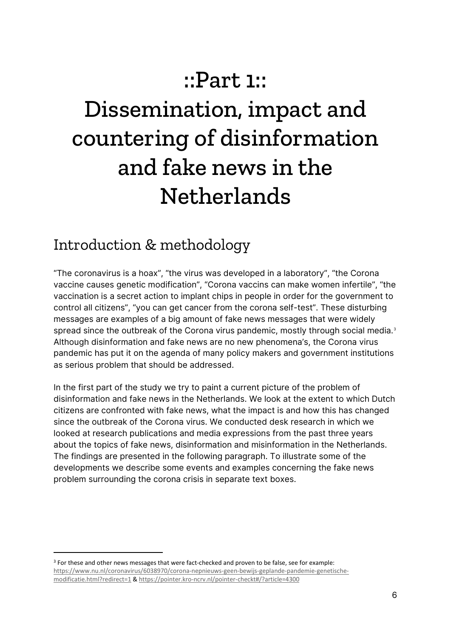## ::Part 1::

## Dissemination, impact and countering of disinformation and fake news in the **Netherlands**

### Introduction & methodology

"The coronavirus is a hoax", "the virus was developed in a laboratory", "the Corona vaccine causes genetic modification", "Corona vaccins can make women infertile", "the vaccination is a secret action to implant chips in people in order for the government to control all citizens", "you can get cancer from the corona self-test". These disturbing messages are examples of a big amount of fake news messages that were widely spread since the outbreak of the Corona virus pandemic, mostly through social media. [3](#page-5-0) Although disinformation and fake news are no new phenomena's, the Corona virus pandemic has put it on the agenda of many policy makers and government institutions as serious problem that should be addressed.

In the first part of the study we try to paint a current picture of the problem of disinformation and fake news in the Netherlands. We look at the extent to which Dutch citizens are confronted with fake news, what the impact is and how this has changed since the outbreak of the Corona virus. We conducted desk research in which we looked at research publications and media expressions from the past three years about the topics of fake news, disinformation and misinformation in the Netherlands. The findings are presented in the following paragraph. To illustrate some of the developments we describe some events and examples concerning the fake news problem surrounding the corona crisis in separate text boxes.

<span id="page-5-0"></span><sup>&</sup>lt;sup>3</sup> For these and other news messages that were fact-checked and proven to be false, see for example: [https://www.nu.nl/coronavirus/6038970/corona-nepnieuws-geen-bewijs-geplande-pandemie-genetische](https://www.nu.nl/coronavirus/6038970/corona-nepnieuws-geen-bewijs-geplande-pandemie-genetische-modificatie.html?redirect=1)[modificatie.html?redirect=1](https://www.nu.nl/coronavirus/6038970/corona-nepnieuws-geen-bewijs-geplande-pandemie-genetische-modificatie.html?redirect=1) [& https://pointer.kro-ncrv.nl/pointer-checkt#/?article=4300](https://pointer.kro-ncrv.nl/pointer-checkt#/?article=4300)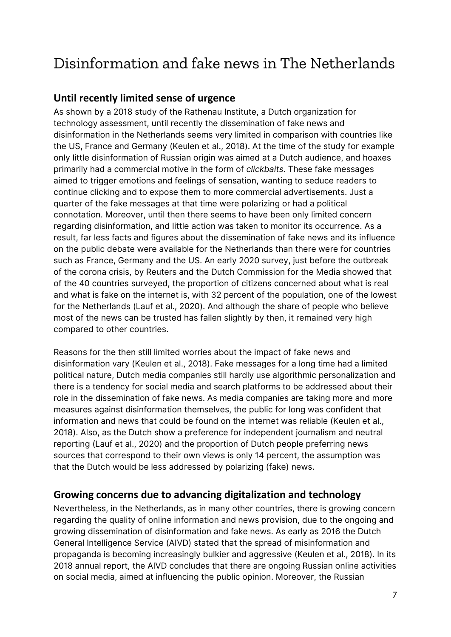### Disinformation and fake news in The Netherlands

#### **Until recently limited sense of urgence**

As shown by a 2018 study of the Rathenau Institute, a Dutch organization for technology assessment, until recently the dissemination of fake news and disinformation in the Netherlands seems very limited in comparison with countries like the US, France and Germany (Keulen et al., 2018). At the time of the study for example only little disinformation of Russian origin was aimed at a Dutch audience, and hoaxes primarily had a commercial motive in the form of *clickbaits*. These fake messages aimed to trigger emotions and feelings of sensation, wanting to seduce readers to continue clicking and to expose them to more commercial advertisements. Just a quarter of the fake messages at that time were polarizing or had a political connotation. Moreover, until then there seems to have been only limited concern regarding disinformation, and little action was taken to monitor its occurrence. As a result, far less facts and figures about the dissemination of fake news and its influence on the public debate were available for the Netherlands than there were for countries such as France, Germany and the US. An early 2020 survey, just before the outbreak of the corona crisis, by Reuters and the Dutch Commission for the Media showed that of the 40 countries surveyed, the proportion of citizens concerned about what is real and what is fake on the internet is, with 32 percent of the population, one of the lowest for the Netherlands (Lauf et al., 2020). And although the share of people who believe most of the news can be trusted has fallen slightly by then, it remained very high compared to other countries.

Reasons for the then still limited worries about the impact of fake news and disinformation vary (Keulen et al., 2018). Fake messages for a long time had a limited political nature, Dutch media companies still hardly use algorithmic personalization and there is a tendency for social media and search platforms to be addressed about their role in the dissemination of fake news. As media companies are taking more and more measures against disinformation themselves, the public for long was confident that information and news that could be found on the internet was reliable (Keulen et al., 2018). Also, as the Dutch show a preference for independent journalism and neutral reporting (Lauf et al., 2020) and the proportion of Dutch people preferring news sources that correspond to their own views is only 14 percent, the assumption was that the Dutch would be less addressed by polarizing (fake) news.

#### **Growing concerns due to advancing digitalization and technology**

Nevertheless, in the Netherlands, as in many other countries, there is growing concern regarding the quality of online information and news provision, due to the ongoing and growing dissemination of disinformation and fake news. As early as 2016 the Dutch General Intelligence Service (AIVD) stated that the spread of misinformation and propaganda is becoming increasingly bulkier and aggressive (Keulen et al., 2018). In its 2018 annual report, the AIVD concludes that there are ongoing Russian online activities on social media, aimed at influencing the public opinion. Moreover, the Russian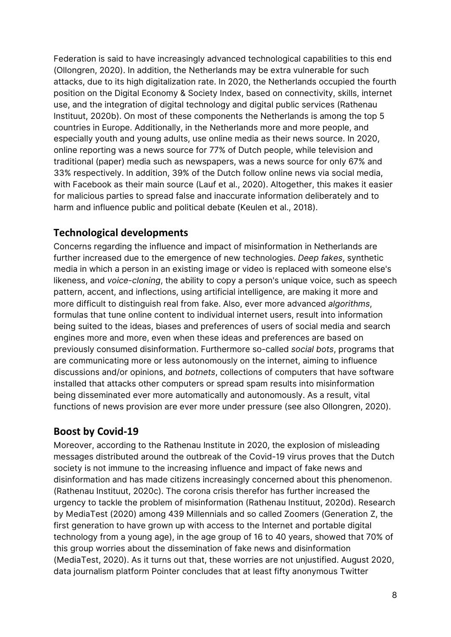Federation is said to have increasingly advanced technological capabilities to this end (Ollongren, 2020). In addition, the Netherlands may be extra vulnerable for such attacks, due to its high digitalization rate. In 2020, the Netherlands occupied the fourth position on the Digital Economy & Society Index, based on connectivity, skills, internet use, and the integration of digital technology and digital public services (Rathenau Instituut, 2020b). On most of these components the Netherlands is among the top 5 countries in Europe. Additionally, in the Netherlands more and more people, and especially youth and young adults, use online media as their news source. In 2020, online reporting was a news source for 77% of Dutch people, while television and traditional (paper) media such as newspapers, was a news source for only 67% and 33% respectively. In addition, 39% of the Dutch follow online news via social media, with Facebook as their main source (Lauf et al., 2020). Altogether, this makes it easier for malicious parties to spread false and inaccurate information deliberately and to harm and influence public and political debate (Keulen et al., 2018).

#### **Technological developments**

Concerns regarding the influence and impact of misinformation in Netherlands are further increased due to the emergence of new technologies. *Deep fakes*, synthetic media in which a person in an existing image or video is replaced with someone else's likeness, and *voice-cloning*, the ability to copy a person's unique voice, such as speech pattern, accent, and inflections, using artificial intelligence, are making it more and more difficult to distinguish real from fake. Also, ever more advanced *algorithms*, formulas that tune online content to individual internet users, result into information being suited to the ideas, biases and preferences of users of social media and search engines more and more, even when these ideas and preferences are based on previously consumed disinformation. Furthermore so-called *social bots*, programs that are communicating more or less autonomously on the internet, aiming to influence discussions and/or opinions, and *botnets*, collections of computers that have software installed that attacks other computers or spread spam results into misinformation being disseminated ever more automatically and autonomously. As a result, vital functions of news provision are ever more under pressure (see also Ollongren, 2020).

#### **Boost by Covid-19**

Moreover, according to the Rathenau Institute in 2020, the explosion of misleading messages distributed around the outbreak of the Covid-19 virus proves that the Dutch society is not immune to the increasing influence and impact of fake news and disinformation and has made citizens increasingly concerned about this phenomenon. (Rathenau Instituut, 2020c). The corona crisis therefor has further increased the urgency to tackle the problem of misinformation (Rathenau Instituut, 2020d). Research by MediaTest (2020) among 439 Millennials and so called Zoomers (Generation Z, the first generation to have grown up with access to the Internet and portable digital technology from a young age), in the age group of 16 to 40 years, showed that 70% of this group worries about the dissemination of fake news and disinformation (MediaTest, 2020). As it turns out that, these worries are not unjustified. August 2020, data journalism platform Pointer concludes that at least fifty anonymous Twitter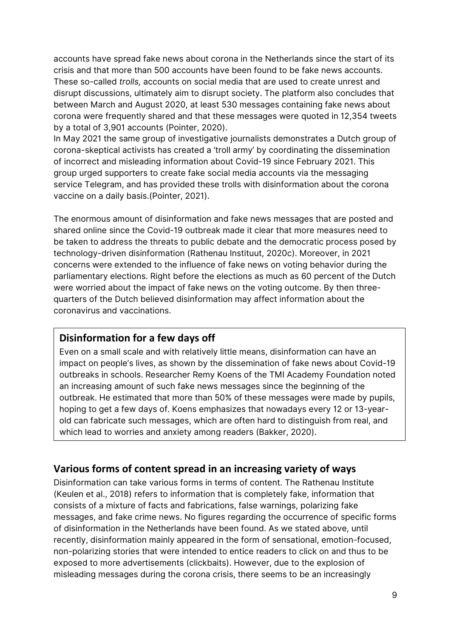accounts have spread fake news about corona in the Netherlands since the start of its crisis and that more than 500 accounts have been found to be fake news accounts. These so-called *trolls,* accounts on social media that are used to create unrest and disrupt discussions, ultimately aim to disrupt society. The platform also concludes that between March and August 2020, at least 530 messages containing fake news about corona were frequently shared and that these messages were quoted in 12,354 tweets by a total of 3,901 accounts (Pointer, 2020).

In May 2021 the same group of investigative journalists demonstrates a Dutch group of corona-skeptical activists has created a 'troll army' by coordinating the dissemination of incorrect and misleading information about Covid-19 since February 2021. This group urged supporters to create fake social media accounts via the messaging service Telegram, and has provided these trolls with disinformation about the corona vaccine on a daily basis.(Pointer, 2021).

The enormous amount of disinformation and fake news messages that are posted and shared online since the Covid-19 outbreak made it clear that more measures need to be taken to address the threats to public debate and the democratic process posed by technology-driven disinformation (Rathenau Instituut, 2020c). Moreover, in 2021 concerns were extended to the influence of fake news on voting behavior during the parliamentary elections. Right before the elections as much as 60 percent of the Dutch were worried about the impact of fake news on the voting outcome. By then threequarters of the Dutch believed disinformation may affect information about the coronavirus and vaccinations.

#### **Disinformation for a few days off**

Even on a small scale and with relatively little means, disinformation can have an impact on people's lives, as shown by the dissemination of fake news about Covid-19 outbreaks in schools. Researcher Remy Koens of the TMI Academy Foundation noted an increasing amount of such fake news messages since the beginning of the outbreak. He estimated that more than 50% of these messages were made by pupils, hoping to get a few days of. Koens emphasizes that nowadays every 12 or 13-yearold can fabricate such messages, which are often hard to distinguish from real, and which lead to worries and anxiety among readers (Bakker, 2020).

#### **Various forms of content spread in an increasing variety of ways**

Disinformation can take various forms in terms of content. The Rathenau Institute (Keulen et al., 2018) refers to information that is completely fake, information that consists of a mixture of facts and fabrications, false warnings, polarizing fake messages, and fake crime news. No figures regarding the occurrence of specific forms of disinformation in the Netherlands have been found. As we stated above, until recently, disinformation mainly appeared in the form of sensational, emotion-focused, non-polarizing stories that were intended to entice readers to click on and thus to be exposed to more advertisements (clickbaits). However, due to the explosion of misleading messages during the corona crisis, there seems to be an increasingly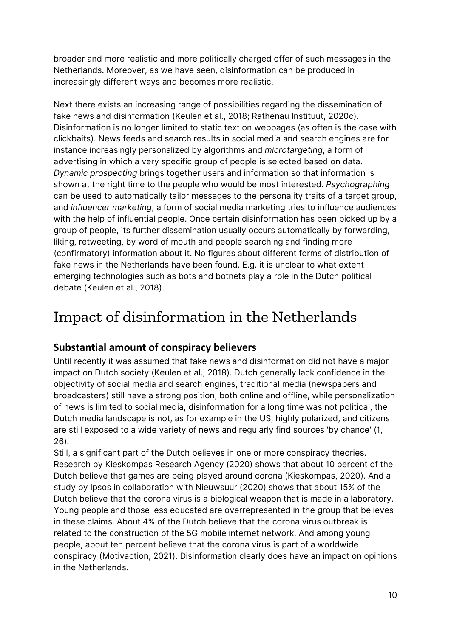broader and more realistic and more politically charged offer of such messages in the Netherlands. Moreover, as we have seen, disinformation can be produced in increasingly different ways and becomes more realistic.

Next there exists an increasing range of possibilities regarding the dissemination of fake news and disinformation (Keulen et al., 2018; Rathenau Instituut, 2020c). Disinformation is no longer limited to static text on webpages (as often is the case with clickbaits). News feeds and search results in social media and search engines are for instance increasingly personalized by algorithms and *microtargeting*, a form of advertising in which a very specific group of people is selected based on data. *Dynamic prospecting* brings together users and information so that information is shown at the right time to the people who would be most interested. *Psychographing* can be used to automatically tailor messages to the personality traits of a target group, and *influencer marketing*, a form of social media marketing tries to influence audiences with the help of influential people. Once certain disinformation has been picked up by a group of people, its further dissemination usually occurs automatically by forwarding, liking, retweeting, by word of mouth and people searching and finding more (confirmatory) information about it. No figures about different forms of distribution of fake news in the Netherlands have been found. E.g. it is unclear to what extent emerging technologies such as bots and botnets play a role in the Dutch political debate (Keulen et al., 2018).

### Impact of disinformation in the Netherlands

#### **Substantial amount of conspiracy believers**

Until recently it was assumed that fake news and disinformation did not have a major impact on Dutch society (Keulen et al., 2018). Dutch generally lack confidence in the objectivity of social media and search engines, traditional media (newspapers and broadcasters) still have a strong position, both online and offline, while personalization of news is limited to social media, disinformation for a long time was not political, the Dutch media landscape is not, as for example in the US, highly polarized, and citizens are still exposed to a wide variety of news and regularly find sources 'by chance' (1, 26).

Still, a significant part of the Dutch believes in one or more conspiracy theories. Research by Kieskompas Research Agency (2020) shows that about 10 percent of the Dutch believe that games are being played around corona (Kieskompas, 2020). And a study by Ipsos in collaboration with Nieuwsuur (2020) shows that about 15% of the Dutch believe that the corona virus is a biological weapon that is made in a laboratory. Young people and those less educated are overrepresented in the group that believes in these claims. About 4% of the Dutch believe that the corona virus outbreak is related to the construction of the 5G mobile internet network. And among young people, about ten percent believe that the corona virus is part of a worldwide conspiracy (Motivaction, 2021). Disinformation clearly does have an impact on opinions in the Netherlands.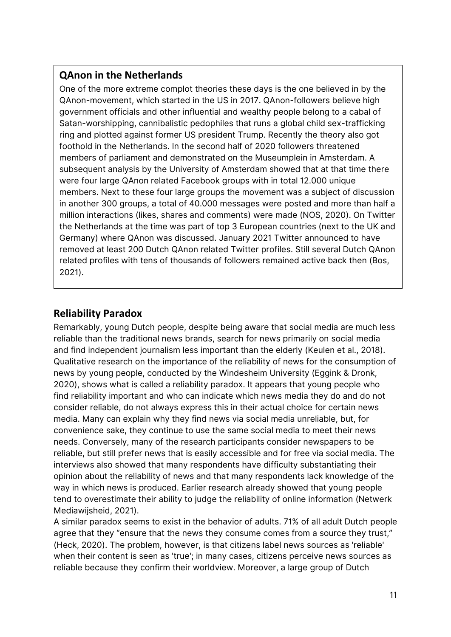#### **QAnon in the Netherlands**

One of the more extreme complot theories these days is the one believed in by the QAnon-movement, which started in the US in 2017. QAnon-followers believe high government officials and other influential and wealthy people belong to a cabal of Satan-worshipping, cannibalistic pedophiles that runs a global child sex-trafficking ring and plotted against former US president Trump. Recently the theory also got foothold in the Netherlands. In the second half of 2020 followers threatened members of parliament and demonstrated on the Museumplein in Amsterdam. A subsequent analysis by the University of Amsterdam showed that at that time there were four large QAnon related Facebook groups with in total 12.000 unique members. Next to these four large groups the movement was a subject of discussion in another 300 groups, a total of 40.000 messages were posted and more than half a million interactions (likes, shares and comments) were made (NOS, 2020). On Twitter the Netherlands at the time was part of top 3 European countries (next to the UK and Germany) where QAnon was discussed. January 2021 Twitter announced to have removed at least 200 Dutch QAnon related Twitter profiles. Still several Dutch QAnon related profiles with tens of thousands of followers remained active back then (Bos, 2021).

#### **Reliability Paradox**

Remarkably, young Dutch people, despite being aware that social media are much less reliable than the traditional news brands, search for news primarily on social media and find independent journalism less important than the elderly (Keulen et al., 2018). Qualitative research on the importance of the reliability of news for the consumption of news by young people, conducted by the Windesheim University (Eggink & Dronk, 2020), shows what is called a reliability paradox. It appears that young people who find reliability important and who can indicate which news media they do and do not consider reliable, do not always express this in their actual choice for certain news media. Many can explain why they find news via social media unreliable, but, for convenience sake, they continue to use the same social media to meet their news needs. Conversely, many of the research participants consider newspapers to be reliable, but still prefer news that is easily accessible and for free via social media. The interviews also showed that many respondents have difficulty substantiating their opinion about the reliability of news and that many respondents lack knowledge of the way in which news is produced. Earlier research already showed that young people tend to overestimate their ability to judge the reliability of online information (Netwerk Mediawijsheid, 2021).

A similar paradox seems to exist in the behavior of adults. 71% of all adult Dutch people agree that they "ensure that the news they consume comes from a source they trust," (Heck, 2020). The problem, however, is that citizens label news sources as 'reliable' when their content is seen as 'true'; in many cases, citizens perceive news sources as reliable because they confirm their worldview. Moreover, a large group of Dutch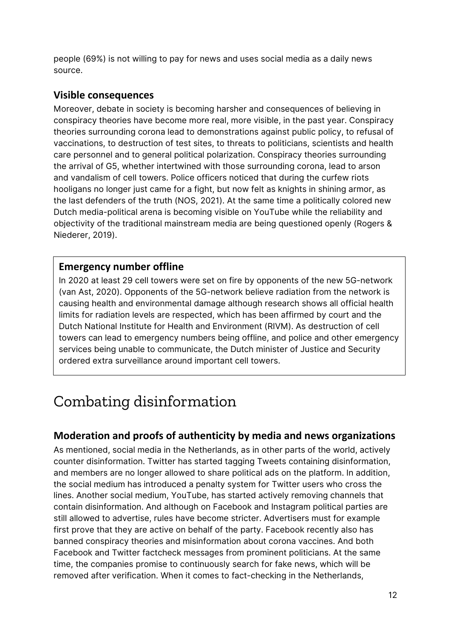people (69%) is not willing to pay for news and uses social media as a daily news source.

#### **Visible consequences**

Moreover, debate in society is becoming harsher and consequences of believing in conspiracy theories have become more real, more visible, in the past year. Conspiracy theories surrounding corona lead to demonstrations against public policy, to refusal of vaccinations, to destruction of test sites, to threats to politicians, scientists and health care personnel and to general political polarization. Conspiracy theories surrounding the arrival of G5, whether intertwined with those surrounding corona, lead to arson and vandalism of cell towers. Police officers noticed that during the curfew riots hooligans no longer just came for a fight, but now felt as knights in shining armor, as the last defenders of the truth (NOS, 2021). At the same time a politically colored new Dutch media-political arena is becoming visible on YouTube while the reliability and objectivity of the traditional mainstream media are being questioned openly (Rogers & Niederer, 2019).

#### **Emergency number offline**

In 2020 at least 29 cell towers were set on fire by opponents of the new 5G-network (van Ast, 2020). Opponents of the 5G-network believe radiation from the network is causing health and environmental damage although research shows all official health limits for radiation levels are respected, which has been affirmed by court and the Dutch National Institute for Health and Environment (RIVM). As destruction of cell towers can lead to emergency numbers being offline, and police and other emergency services being unable to communicate, the Dutch minister of Justice and Security ordered extra surveillance around important cell towers.

### Combating disinformation

#### **Moderation and proofs of authenticity by media and news organizations**

As mentioned, social media in the Netherlands, as in other parts of the world, actively counter disinformation. Twitter has started tagging Tweets containing disinformation, and members are no longer allowed to share political ads on the platform. In addition, the social medium has introduced a penalty system for Twitter users who cross the lines. Another social medium, YouTube, has started actively removing channels that contain disinformation. And although on Facebook and Instagram political parties are still allowed to advertise, rules have become stricter. Advertisers must for example first prove that they are active on behalf of the party. Facebook recently also has banned conspiracy theories and misinformation about corona vaccines. And both Facebook and Twitter factcheck messages from prominent politicians. At the same time, the companies promise to continuously search for fake news, which will be removed after verification. When it comes to fact-checking in the Netherlands,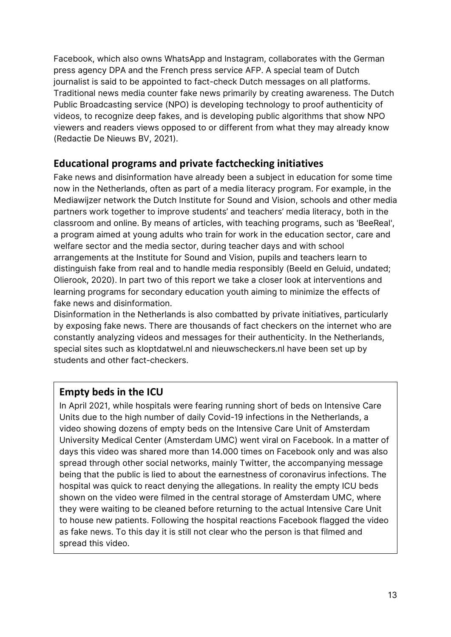Facebook, which also owns WhatsApp and Instagram, collaborates with the German press agency DPA and the French press service AFP. A special team of Dutch journalist is said to be appointed to fact-check Dutch messages on all platforms. Traditional news media counter fake news primarily by creating awareness. The Dutch Public Broadcasting service (NPO) is developing technology to proof authenticity of videos, to recognize deep fakes, and is developing public algorithms that show NPO viewers and readers views opposed to or different from what they may already know (Redactie De Nieuws BV, 2021).

#### **Educational programs and private factchecking initiatives**

Fake news and disinformation have already been a subject in education for some time now in the Netherlands, often as part of a media literacy program. For example, in the Mediawijzer network the Dutch Institute for Sound and Vision, schools and other media partners work together to improve students' and teachers' media literacy, both in the classroom and online. By means of articles, with teaching programs, such as 'BeeReal', a program aimed at young adults who train for work in the education sector, care and welfare sector and the media sector, during teacher days and with school arrangements at the Institute for Sound and Vision, pupils and teachers learn to distinguish fake from real and to handle media responsibly (Beeld en Geluid, undated; Olierook, 2020). In part two of this report we take a closer look at interventions and learning programs for secondary education youth aiming to minimize the effects of fake news and disinformation.

Disinformation in the Netherlands is also combatted by private initiatives, particularly by exposing fake news. There are thousands of fact checkers on the internet who are constantly analyzing videos and messages for their authenticity. In the Netherlands, special sites such as kloptdatwel.nl and nieuwscheckers.nl have been set up by students and other fact-checkers.

#### **Empty beds in the ICU**

In April 2021, while hospitals were fearing running short of beds on Intensive Care Units due to the high number of daily Covid-19 infections in the Netherlands, a video showing dozens of empty beds on the Intensive Care Unit of Amsterdam University Medical Center (Amsterdam UMC) went viral on Facebook. In a matter of days this video was shared more than 14.000 times on Facebook only and was also spread through other social networks, mainly Twitter, the accompanying message being that the public is lied to about the earnestness of coronavirus infections. The hospital was quick to react denying the allegations. In reality the empty ICU beds shown on the video were filmed in the central storage of Amsterdam UMC, where they were waiting to be cleaned before returning to the actual Intensive Care Unit to house new patients. Following the hospital reactions Facebook flagged the video as fake news. To this day it is still not clear who the person is that filmed and spread this video.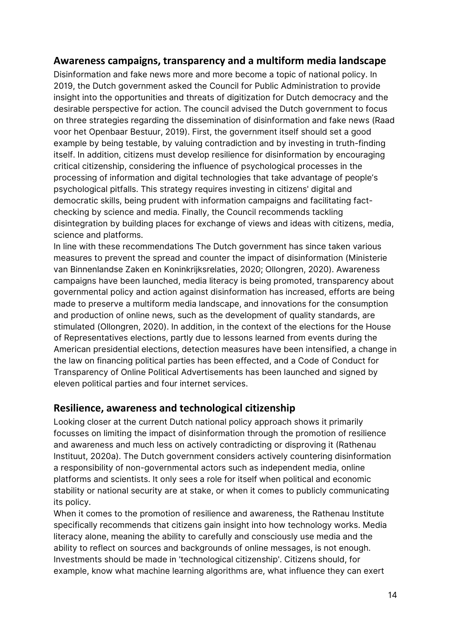#### **Awareness campaigns, transparency and a multiform media landscape**

Disinformation and fake news more and more become a topic of national policy. In 2019, the Dutch government asked the Council for Public Administration to provide insight into the opportunities and threats of digitization for Dutch democracy and the desirable perspective for action. The council advised the Dutch government to focus on three strategies regarding the dissemination of disinformation and fake news (Raad voor het Openbaar Bestuur, 2019). First, the government itself should set a good example by being testable, by valuing contradiction and by investing in truth-finding itself. In addition, citizens must develop resilience for disinformation by encouraging critical citizenship, considering the influence of psychological processes in the processing of information and digital technologies that take advantage of people's psychological pitfalls. This strategy requires investing in citizens' digital and democratic skills, being prudent with information campaigns and facilitating factchecking by science and media. Finally, the Council recommends tackling disintegration by building places for exchange of views and ideas with citizens, media, science and platforms.

In line with these recommendations The Dutch government has since taken various measures to prevent the spread and counter the impact of disinformation (Ministerie van Binnenlandse Zaken en Koninkrijksrelaties, 2020; Ollongren, 2020). Awareness campaigns have been launched, media literacy is being promoted, transparency about governmental policy and action against disinformation has increased, efforts are being made to preserve a multiform media landscape, and innovations for the consumption and production of online news, such as the development of quality standards, are stimulated (Ollongren, 2020). In addition, in the context of the elections for the House of Representatives elections, partly due to lessons learned from events during the American presidential elections, detection measures have been intensified, a change in the law on financing political parties has been effected, and a Code of Conduct for Transparency of Online Political Advertisements has been launched and signed by eleven political parties and four internet services.

#### **Resilience, awareness and technological citizenship**

Looking closer at the current Dutch national policy approach shows it primarily focusses on limiting the impact of disinformation through the promotion of resilience and awareness and much less on actively contradicting or disproving it (Rathenau Instituut, 2020a). The Dutch government considers actively countering disinformation a responsibility of non-governmental actors such as independent media, online platforms and scientists. It only sees a role for itself when political and economic stability or national security are at stake, or when it comes to publicly communicating its policy.

When it comes to the promotion of resilience and awareness, the Rathenau Institute specifically recommends that citizens gain insight into how technology works. Media literacy alone, meaning the ability to carefully and consciously use media and the ability to reflect on sources and backgrounds of online messages, is not enough. Investments should be made in 'technological citizenship'. Citizens should, for example, know what machine learning algorithms are, what influence they can exert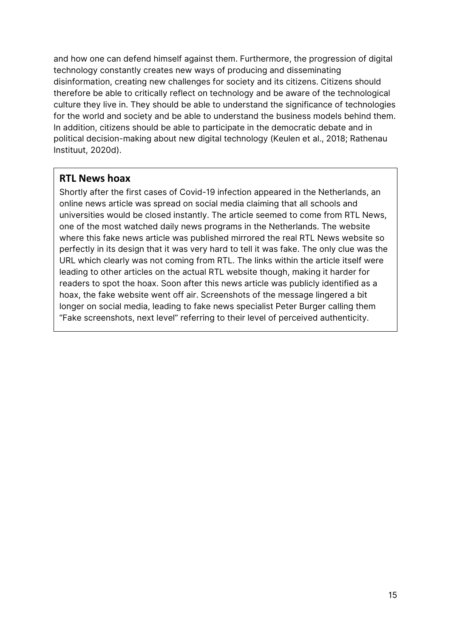and how one can defend himself against them. Furthermore, the progression of digital technology constantly creates new ways of producing and disseminating disinformation, creating new challenges for society and its citizens. Citizens should therefore be able to critically reflect on technology and be aware of the technological culture they live in. They should be able to understand the significance of technologies for the world and society and be able to understand the business models behind them. In addition, citizens should be able to participate in the democratic debate and in political decision-making about new digital technology (Keulen et al., 2018; Rathenau Instituut, 2020d).

#### **RTL News hoax**

Shortly after the first cases of Covid-19 infection appeared in the Netherlands, an online news article was spread on social media claiming that all schools and universities would be closed instantly. The article seemed to come from RTL News, one of the most watched daily news programs in the Netherlands. The website where this fake news article was published mirrored the real RTL News website so perfectly in its design that it was very hard to tell it was fake. The only clue was the URL which clearly was not coming from RTL. The links within the article itself were leading to other articles on the actual RTL website though, making it harder for readers to spot the hoax. Soon after this news article was publicly identified as a hoax, the fake website went off air. Screenshots of the message lingered a bit longer on social media, leading to fake news specialist Peter Burger calling them "Fake screenshots, next level" referring to their level of perceived authenticity.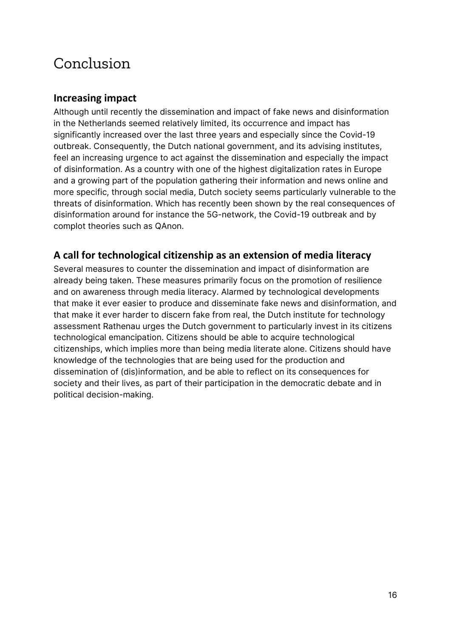### Conclusion

#### **Increasing impact**

Although until recently the dissemination and impact of fake news and disinformation in the Netherlands seemed relatively limited, its occurrence and impact has significantly increased over the last three years and especially since the Covid-19 outbreak. Consequently, the Dutch national government, and its advising institutes, feel an increasing urgence to act against the dissemination and especially the impact of disinformation. As a country with one of the highest digitalization rates in Europe and a growing part of the population gathering their information and news online and more specific, through social media, Dutch society seems particularly vulnerable to the threats of disinformation. Which has recently been shown by the real consequences of disinformation around for instance the 5G-network, the Covid-19 outbreak and by complot theories such as QAnon.

#### **A call for technological citizenship as an extension of media literacy**

Several measures to counter the dissemination and impact of disinformation are already being taken. These measures primarily focus on the promotion of resilience and on awareness through media literacy. Alarmed by technological developments that make it ever easier to produce and disseminate fake news and disinformation, and that make it ever harder to discern fake from real, the Dutch institute for technology assessment Rathenau urges the Dutch government to particularly invest in its citizens technological emancipation. Citizens should be able to acquire technological citizenships, which implies more than being media literate alone. Citizens should have knowledge of the technologies that are being used for the production and dissemination of (dis)information, and be able to reflect on its consequences for society and their lives, as part of their participation in the democratic debate and in political decision-making.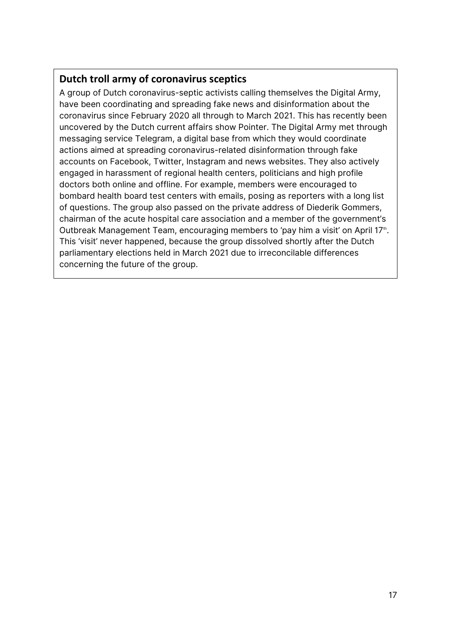#### **Dutch troll army of coronavirus sceptics**

A group of Dutch coronavirus-septic activists calling themselves the Digital Army, have been coordinating and spreading fake news and disinformation about the coronavirus since February 2020 all through to March 2021. This has recently been uncovered by the Dutch current affairs show Pointer. The Digital Army met through messaging service Telegram, a digital base from which they would coordinate actions aimed at spreading coronavirus-related disinformation through fake accounts on Facebook, Twitter, Instagram and news websites. They also actively engaged in harassment of regional health centers, politicians and high profile doctors both online and offline. For example, members were encouraged to bombard health board test centers with emails, posing as reporters with a long list of questions. The group also passed on the private address of Diederik Gommers, chairman of the acute hospital care association and a member of the government's Outbreak Management Team, encouraging members to 'pay him a visit' on April 17<sup>th</sup>. This 'visit' never happened, because the group dissolved shortly after the Dutch parliamentary elections held in March 2021 due to irreconcilable differences concerning the future of the group.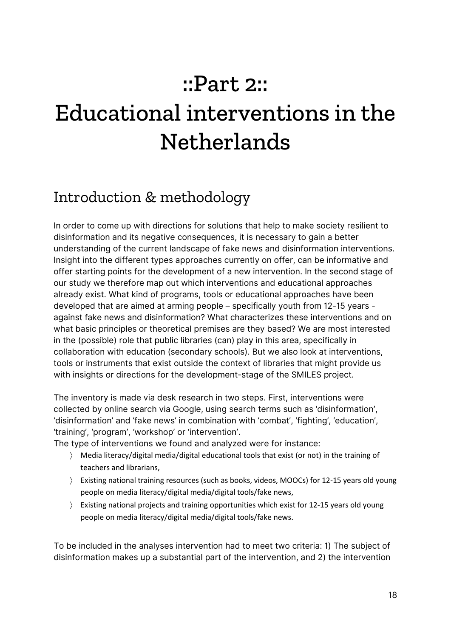## ::Part 2::

## Educational interventions in the **Netherlands**

### Introduction & methodology

In order to come up with directions for solutions that help to make society resilient to disinformation and its negative consequences, it is necessary to gain a better understanding of the current landscape of fake news and disinformation interventions. Insight into the different types approaches currently on offer, can be informative and offer starting points for the development of a new intervention. In the second stage of our study we therefore map out which interventions and educational approaches already exist. What kind of programs, tools or educational approaches have been developed that are aimed at arming people – specifically youth from 12-15 years against fake news and disinformation? What characterizes these interventions and on what basic principles or theoretical premises are they based? We are most interested in the (possible) role that public libraries (can) play in this area, specifically in collaboration with education (secondary schools). But we also look at interventions, tools or instruments that exist outside the context of libraries that might provide us with insights or directions for the development-stage of the SMILES project.

The inventory is made via desk research in two steps. First, interventions were collected by online search via Google, using search terms such as 'disinformation', 'disinformation' and 'fake news' in combination with 'combat', 'fighting', 'education', 'training', 'program', 'workshop' or 'intervention'.

The type of interventions we found and analyzed were for instance:

- 〉 Media literacy/digital media/digital educational tools that exist (or not) in the training of teachers and librarians,
- 〉 Existing national training resources (such as books, videos, MOOCs) for 12-15 years old young people on media literacy/digital media/digital tools/fake news,
- 〉 Existing national projects and training opportunities which exist for 12-15 years old young people on media literacy/digital media/digital tools/fake news.

To be included in the analyses intervention had to meet two criteria: 1) The subject of disinformation makes up a substantial part of the intervention, and 2) the intervention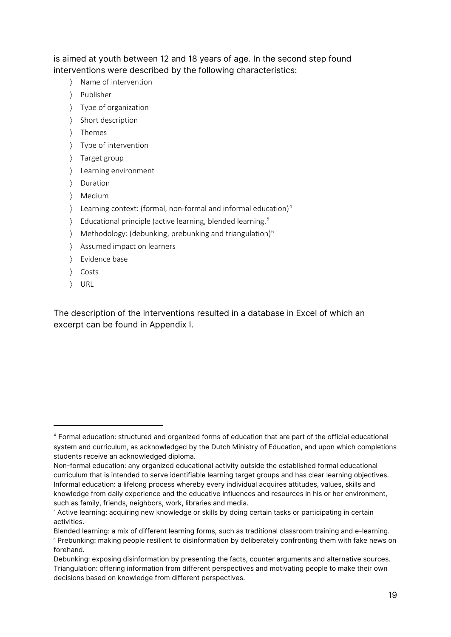is aimed at youth between 12 and 18 years of age. In the second step found interventions were described by the following characteristics:

- 〉 Name of intervention
- 〉 Publisher
- 〉 Type of organization
- 〉 Short description
- 〉 Themes
- 〉 Type of intervention
- 〉 Target group
- 〉 Learning environment
- 〉 Duration
- 〉 Medium
- $\angle$  Learning context: (formal, non-formal and informal education)<sup>[4](#page-18-0)</sup>
- 〉 Educational principle (active learning, blended learning.[5](#page-18-1)
- 〉 Methodology: (debunking, prebunking and triangulation) [6](#page-18-2)
- 〉 Assumed impact on learners
- 〉 Evidence base
- 〉 Costs
- 〉 URL

The description of the interventions resulted in a database in Excel of which an excerpt can be found in Appendix I.

<span id="page-18-0"></span><sup>4</sup> Formal education: structured and organized forms of education that are part of the official educational system and curriculum, as acknowledged by the Dutch Ministry of Education, and upon which completions students receive an acknowledged diploma.

Non-formal education: any organized educational activity outside the established formal educational curriculum that is intended to serve identifiable learning target groups and has clear learning objectives. Informal education: a lifelong process whereby every individual acquires attitudes, values, skills and knowledge from daily experience and the educative influences and resources in his or her environment, such as family, friends, neighbors, work, libraries and media.

<span id="page-18-1"></span><sup>5</sup> Active learning: acquiring new knowledge or skills by doing certain tasks or participating in certain activities.

<span id="page-18-2"></span>Blended learning: a mix of different learning forms, such as traditional classroom training and e-learning. <sup>6</sup> Prebunking: making people resilient to disinformation by deliberately confronting them with fake news on forehand.

Debunking: exposing disinformation by presenting the facts, counter arguments and alternative sources. Triangulation: offering information from different perspectives and motivating people to make their own decisions based on knowledge from different perspectives.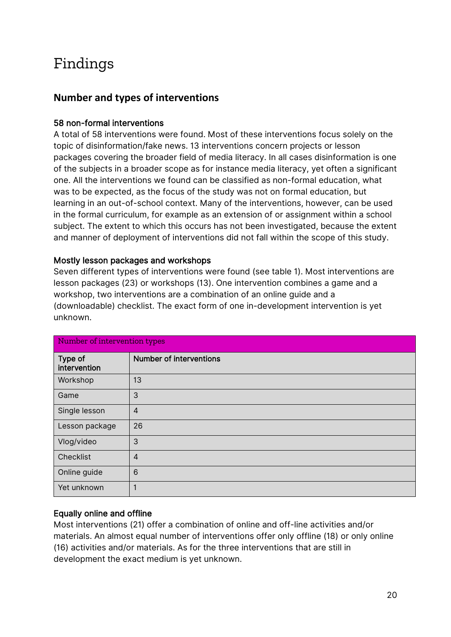### Findings

#### **Number and types of interventions**

#### 58 non-formal interventions

A total of 58 interventions were found. Most of these interventions focus solely on the topic of disinformation/fake news. 13 interventions concern projects or lesson packages covering the broader field of media literacy. In all cases disinformation is one of the subjects in a broader scope as for instance media literacy, yet often a significant one. All the interventions we found can be classified as non-formal education, what was to be expected, as the focus of the study was not on formal education, but learning in an out-of-school context. Many of the interventions, however, can be used in the formal curriculum, for example as an extension of or assignment within a school subject. The extent to which this occurs has not been investigated, because the extent and manner of deployment of interventions did not fall within the scope of this study.

#### Mostly lesson packages and workshops

Seven different types of interventions were found (see table 1). Most interventions are lesson packages (23) or workshops (13). One intervention combines a game and a workshop, two interventions are a combination of an online guide and a (downloadable) checklist. The exact form of one in-development intervention is yet unknown.

| Number of intervention types |                                |
|------------------------------|--------------------------------|
| Type of<br>intervention      | <b>Number of interventions</b> |
| Workshop                     | 13                             |
| Game                         | 3                              |
| Single lesson                | $\overline{A}$                 |
| Lesson package               | 26                             |
| Vlog/video                   | 3                              |
| Checklist                    | $\overline{4}$                 |
| Online guide                 | 6                              |
| Yet unknown                  |                                |

#### Equally online and offline

Most interventions (21) offer a combination of online and off-line activities and/or materials. An almost equal number of interventions offer only offline (18) or only online (16) activities and/or materials. As for the three interventions that are still in development the exact medium is yet unknown.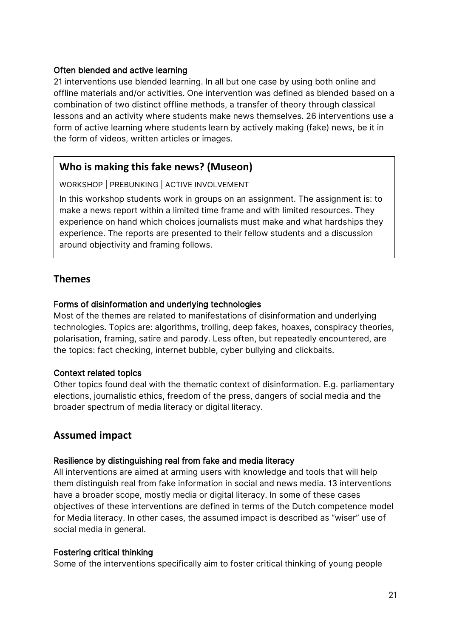#### Often blended and active learning

21 interventions use blended learning. In all but one case by using both online and offline materials and/or activities. One intervention was defined as blended based on a combination of two distinct offline methods, a transfer of theory through classical lessons and an activity where students make news themselves. 26 interventions use a form of active learning where students learn by actively making (fake) news, be it in the form of videos, written articles or images.

#### **Who is making this fake news? (Museon)**

WORKSHOP | PREBUNKING | ACTIVE INVOLVEMENT

In this workshop students work in groups on an assignment. The assignment is: to make a news report within a limited time frame and with limited resources. They experience on hand which choices journalists must make and what hardships they experience. The reports are presented to their fellow students and a discussion around objectivity and framing follows.

#### **Themes**

#### Forms of disinformation and underlying technologies

Most of the themes are related to manifestations of disinformation and underlying technologies. Topics are: algorithms, trolling, deep fakes, hoaxes, conspiracy theories, polarisation, framing, satire and parody. Less often, but repeatedly encountered, are the topics: fact checking, internet bubble, cyber bullying and clickbaits.

#### Context related topics

Other topics found deal with the thematic context of disinformation. E.g. parliamentary elections, journalistic ethics, freedom of the press, dangers of social media and the broader spectrum of media literacy or digital literacy.

#### **Assumed impact**

#### Resilience by distinguishing real from fake and media literacy

All interventions are aimed at arming users with knowledge and tools that will help them distinguish real from fake information in social and news media. 13 interventions have a broader scope, mostly media or digital literacy. In some of these cases objectives of these interventions are defined in terms of the Dutch competence model for Media literacy. In other cases, the assumed impact is described as "wiser" use of social media in general.

#### Fostering critical thinking

Some of the interventions specifically aim to foster critical thinking of young people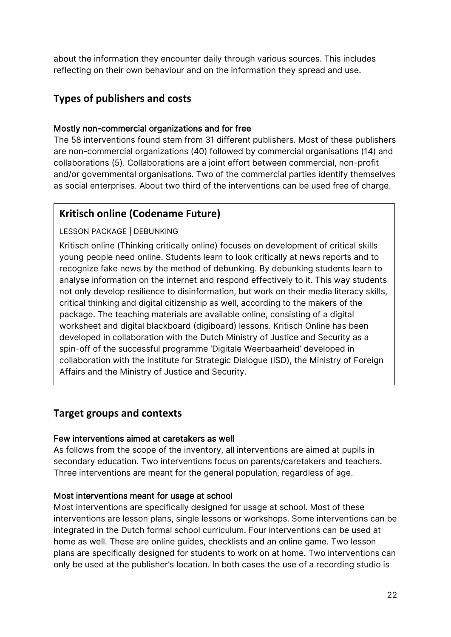about the information they encounter daily through various sources. This includes reflecting on their own behaviour and on the information they spread and use.

#### **Types of publishers and costs**

#### Mostly non-commercial organizations and for free

The 58 interventions found stem from 31 different publishers. Most of these publishers are non-commercial organizations (40) followed by commercial organisations (14) and collaborations (5). Collaborations are a joint effort between commercial, non-profit and/or governmental organisations. Two of the commercial parties identify themselves as social enterprises. About two third of the interventions can be used free of charge.

#### **Kritisch online (Codename Future)**

#### LESSON PACKAGE | DEBUNKING

Kritisch online (Thinking critically online) focuses on development of critical skills young people need online. Students learn to look critically at news reports and to recognize fake news by the method of debunking. By debunking students learn to analyse information on the internet and respond effectively to it. This way students not only develop resilience to disinformation, but work on their media literacy skills, critical thinking and digital citizenship as well, according to the makers of the package. The teaching materials are available online, consisting of a digital worksheet and digital blackboard (digiboard) lessons. Kritisch Online has been developed in collaboration with the Dutch Ministry of Justice and Security as a spin-off of the successful programme 'Digitale Weerbaarheid' developed in collaboration with the Institute for Strategic Dialogue (ISD), the Ministry of Foreign Affairs and the Ministry of Justice and Security.

#### **Target groups and contexts**

#### Few interventions aimed at caretakers as well

As follows from the scope of the inventory, all interventions are aimed at pupils in secondary education. Two interventions focus on parents/caretakers and teachers. Three interventions are meant for the general population, regardless of age.

#### Most interventions meant for usage at school

Most interventions are specifically designed for usage at school. Most of these interventions are lesson plans, single lessons or workshops. Some interventions can be integrated in the Dutch formal school curriculum. Four interventions can be used at home as well. These are online guides, checklists and an online game. Two lesson plans are specifically designed for students to work on at home. Two interventions can only be used at the publisher's location. In both cases the use of a recording studio is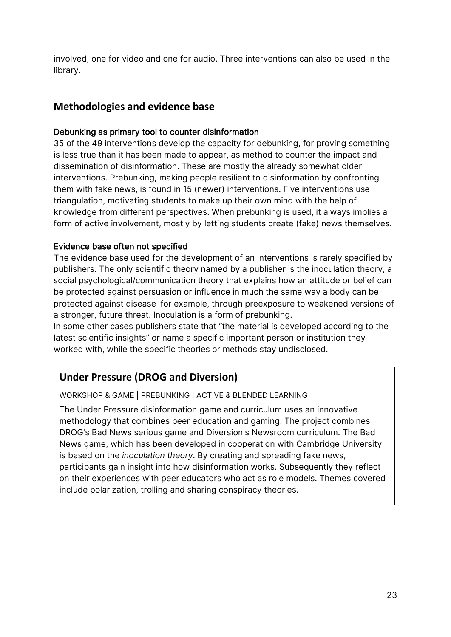involved, one for video and one for audio. Three interventions can also be used in the library.

#### **Methodologies and evidence base**

#### Debunking as primary tool to counter disinformation

35 of the 49 interventions develop the capacity for debunking, for proving something is less true than it has been made to appear, as method to counter the impact and dissemination of disinformation. These are mostly the already somewhat older interventions. Prebunking, making people resilient to disinformation by confronting them with fake news, is found in 15 (newer) interventions. Five interventions use triangulation, motivating students to make up their own mind with the help of knowledge from different perspectives. When prebunking is used, it always implies a form of active involvement, mostly by letting students create (fake) news themselves.

#### Evidence base often not specified

The evidence base used for the development of an interventions is rarely specified by publishers. The only scientific theory named by a publisher is the inoculation theory, a social psychological/communication theory that explains how an attitude or belief can be protected against persuasion or influence in much the same way a body can be protected against disease–for example, through preexposure to weakened versions of a stronger, future threat. Inoculation is a form of prebunking.

In some other cases publishers state that "the material is developed according to the latest scientific insights" or name a specific important person or institution they worked with, while the specific theories or methods stay undisclosed.

#### **Under Pressure (DROG and Diversion)**

WORKSHOP & GAME | PREBUNKING | ACTIVE & BLENDED LEARNING

The Under Pressure disinformation game and curriculum uses an innovative methodology that combines peer education and gaming. The project combines DROG's Bad News serious game and Diversion's Newsroom curriculum. The Bad News game, which has been developed in cooperation with Cambridge University is based on the *inoculation theory*. By creating and spreading fake news, participants gain insight into how disinformation works. Subsequently they reflect on their experiences with peer educators who act as role models. Themes covered include polarization, trolling and sharing conspiracy theories.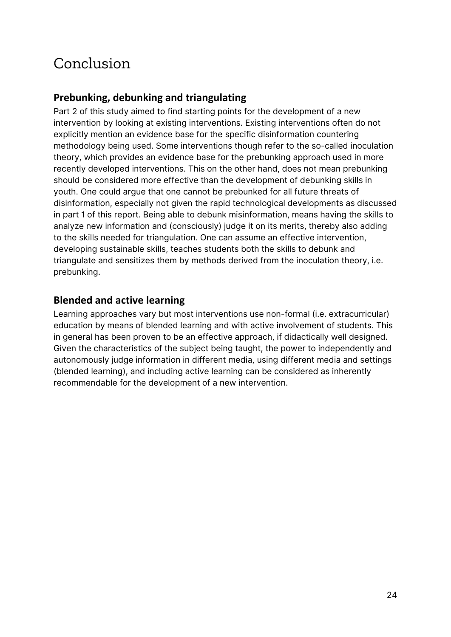### Conclusion

#### **Prebunking, debunking and triangulating**

Part 2 of this study aimed to find starting points for the development of a new intervention by looking at existing interventions. Existing interventions often do not explicitly mention an evidence base for the specific disinformation countering methodology being used. Some interventions though refer to the so-called inoculation theory, which provides an evidence base for the prebunking approach used in more recently developed interventions. This on the other hand, does not mean prebunking should be considered more effective than the development of debunking skills in youth. One could argue that one cannot be prebunked for all future threats of disinformation, especially not given the rapid technological developments as discussed in part 1 of this report. Being able to debunk misinformation, means having the skills to analyze new information and (consciously) judge it on its merits, thereby also adding to the skills needed for triangulation. One can assume an effective intervention, developing sustainable skills, teaches students both the skills to debunk and triangulate and sensitizes them by methods derived from the inoculation theory, i.e. prebunking.

#### **Blended and active learning**

Learning approaches vary but most interventions use non-formal (i.e. extracurricular) education by means of blended learning and with active involvement of students. This in general has been proven to be an effective approach, if didactically well designed. Given the characteristics of the subject being taught, the power to independently and autonomously judge information in different media, using different media and settings (blended learning), and including active learning can be considered as inherently recommendable for the development of a new intervention.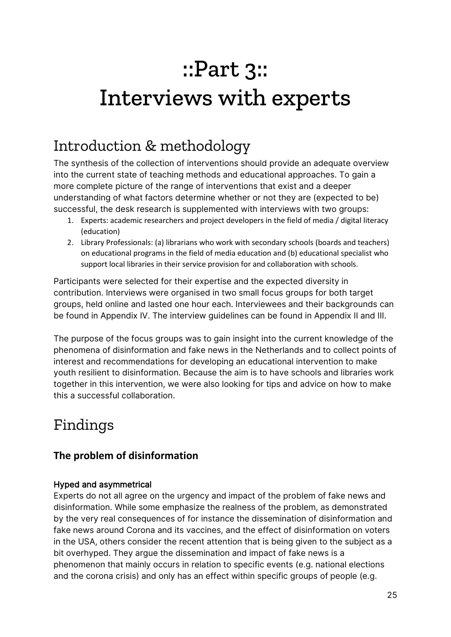## ::Part 3:: Interviews with experts

### Introduction & methodology

The synthesis of the collection of interventions should provide an adequate overview into the current state of teaching methods and educational approaches. To gain a more complete picture of the range of interventions that exist and a deeper understanding of what factors determine whether or not they are (expected to be) successful, the desk research is supplemented with interviews with two groups:

- 1. Experts: academic researchers and project developers in the field of media / digital literacy (education)
- 2. Library Professionals: (a) librarians who work with secondary schools (boards and teachers) on educational programs in the field of media education and (b) educational specialist who support local libraries in their service provision for and collaboration with schools.

Participants were selected for their expertise and the expected diversity in contribution. Interviews were organised in two small focus groups for both target groups, held online and lasted one hour each. Interviewees and their backgrounds can be found in Appendix IV. The interview guidelines can be found in Appendix II and III.

The purpose of the focus groups was to gain insight into the current knowledge of the phenomena of disinformation and fake news in the Netherlands and to collect points of interest and recommendations for developing an educational intervention to make youth resilient to disinformation. Because the aim is to have schools and libraries work together in this intervention, we were also looking for tips and advice on how to make this a successful collaboration.

### Findings

#### **The problem of disinformation**

#### Hyped and asymmetrical

Experts do not all agree on the urgency and impact of the problem of fake news and disinformation. While some emphasize the realness of the problem, as demonstrated by the very real consequences of for instance the dissemination of disinformation and fake news around Corona and its vaccines, and the effect of disinformation on voters in the USA, others consider the recent attention that is being given to the subject as a bit overhyped. They argue the dissemination and impact of fake news is a phenomenon that mainly occurs in relation to specific events (e.g. national elections and the corona crisis) and only has an effect within specific groups of people (e.g.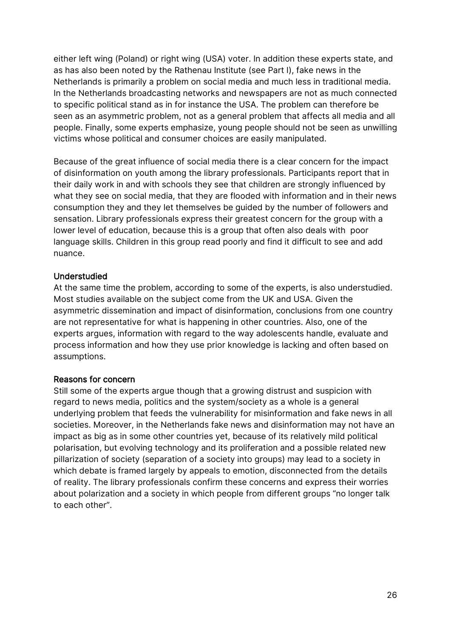either left wing (Poland) or right wing (USA) voter. In addition these experts state, and as has also been noted by the Rathenau Institute (see Part I), fake news in the Netherlands is primarily a problem on social media and much less in traditional media. In the Netherlands broadcasting networks and newspapers are not as much connected to specific political stand as in for instance the USA. The problem can therefore be seen as an asymmetric problem, not as a general problem that affects all media and all people. Finally, some experts emphasize, young people should not be seen as unwilling victims whose political and consumer choices are easily manipulated.

Because of the great influence of social media there is a clear concern for the impact of disinformation on youth among the library professionals. Participants report that in their daily work in and with schools they see that children are strongly influenced by what they see on social media, that they are flooded with information and in their news consumption they and they let themselves be guided by the number of followers and sensation. Library professionals express their greatest concern for the group with a lower level of education, because this is a group that often also deals with poor language skills. Children in this group read poorly and find it difficult to see and add nuance.

#### Understudied

At the same time the problem, according to some of the experts, is also understudied. Most studies available on the subject come from the UK and USA. Given the asymmetric dissemination and impact of disinformation, conclusions from one country are not representative for what is happening in other countries. Also, one of the experts argues, information with regard to the way adolescents handle, evaluate and process information and how they use prior knowledge is lacking and often based on assumptions.

#### Reasons for concern

Still some of the experts argue though that a growing distrust and suspicion with regard to news media, politics and the system/society as a whole is a general underlying problem that feeds the vulnerability for misinformation and fake news in all societies. Moreover, in the Netherlands fake news and disinformation may not have an impact as big as in some other countries yet, because of its relatively mild political polarisation, but evolving technology and its proliferation and a possible related new pillarization of society (separation of a society into groups) may lead to a society in which debate is framed largely by appeals to emotion, disconnected from the details of reality. The library professionals confirm these concerns and express their worries about polarization and a society in which people from different groups "no longer talk to each other".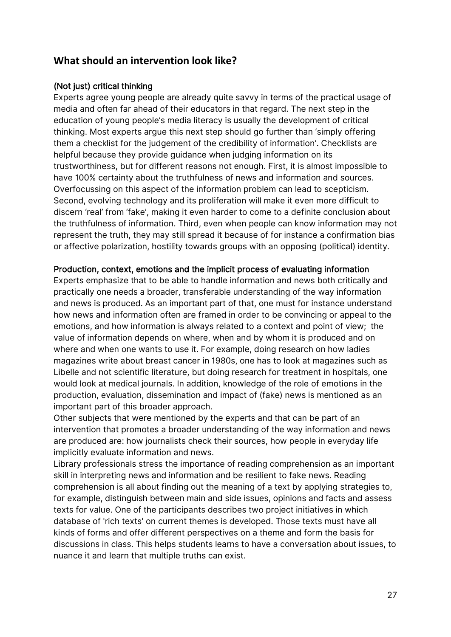#### **What should an intervention look like?**

#### (Not just) critical thinking

Experts agree young people are already quite savvy in terms of the practical usage of media and often far ahead of their educators in that regard. The next step in the education of young people's media literacy is usually the development of critical thinking. Most experts argue this next step should go further than 'simply offering them a checklist for the judgement of the credibility of information'. Checklists are helpful because they provide guidance when judging information on its trustworthiness, but for different reasons not enough. First, it is almost impossible to have 100% certainty about the truthfulness of news and information and sources. Overfocussing on this aspect of the information problem can lead to scepticism. Second, evolving technology and its proliferation will make it even more difficult to discern 'real' from 'fake', making it even harder to come to a definite conclusion about the truthfulness of information. Third, even when people can know information may not represent the truth, they may still spread it because of for instance a confirmation bias or affective polarization, hostility towards groups with an opposing (political) identity.

#### Production, context, emotions and the implicit process of evaluating information

Experts emphasize that to be able to handle information and news both critically and practically one needs a broader, transferable understanding of the way information and news is produced. As an important part of that, one must for instance understand how news and information often are framed in order to be convincing or appeal to the emotions, and how information is always related to a context and point of view; the value of information depends on where, when and by whom it is produced and on where and when one wants to use it. For example, doing research on how ladies magazines write about breast cancer in 1980s, one has to look at magazines such as Libelle and not scientific literature, but doing research for treatment in hospitals, one would look at medical journals. In addition, knowledge of the role of emotions in the production, evaluation, dissemination and impact of (fake) news is mentioned as an important part of this broader approach.

Other subjects that were mentioned by the experts and that can be part of an intervention that promotes a broader understanding of the way information and news are produced are: how journalists check their sources, how people in everyday life implicitly evaluate information and news.

Library professionals stress the importance of reading comprehension as an important skill in interpreting news and information and be resilient to fake news. Reading comprehension is all about finding out the meaning of a text by applying strategies to, for example, distinguish between main and side issues, opinions and facts and assess texts for value. One of the participants describes two project initiatives in which database of 'rich texts' on current themes is developed. Those texts must have all kinds of forms and offer different perspectives on a theme and form the basis for discussions in class. This helps students learns to have a conversation about issues, to nuance it and learn that multiple truths can exist.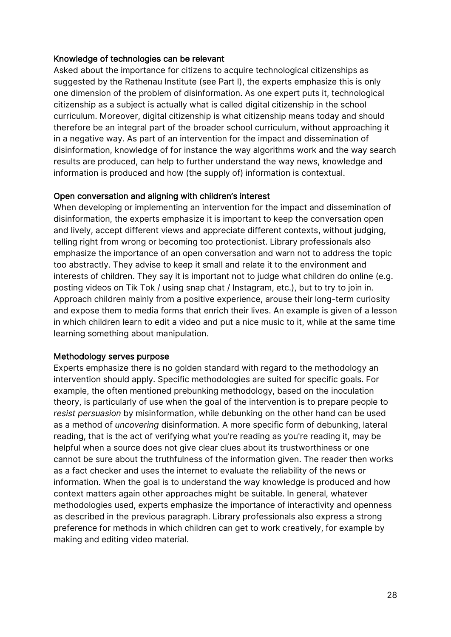#### Knowledge of technologies can be relevant

Asked about the importance for citizens to acquire technological citizenships as suggested by the Rathenau Institute (see Part I), the experts emphasize this is only one dimension of the problem of disinformation. As one expert puts it, technological citizenship as a subject is actually what is called digital citizenship in the school curriculum. Moreover, digital citizenship is what citizenship means today and should therefore be an integral part of the broader school curriculum, without approaching it in a negative way. As part of an intervention for the impact and dissemination of disinformation, knowledge of for instance the way algorithms work and the way search results are produced, can help to further understand the way news, knowledge and information is produced and how (the supply of) information is contextual.

#### Open conversation and aligning with children's interest

When developing or implementing an intervention for the impact and dissemination of disinformation, the experts emphasize it is important to keep the conversation open and lively, accept different views and appreciate different contexts, without judging, telling right from wrong or becoming too protectionist. Library professionals also emphasize the importance of an open conversation and warn not to address the topic too abstractly. They advise to keep it small and relate it to the environment and interests of children. They say it is important not to judge what children do online (e.g. posting videos on Tik Tok / using snap chat / Instagram, etc.), but to try to join in. Approach children mainly from a positive experience, arouse their long-term curiosity and expose them to media forms that enrich their lives. An example is given of a lesson in which children learn to edit a video and put a nice music to it, while at the same time learning something about manipulation.

#### Methodology serves purpose

Experts emphasize there is no golden standard with regard to the methodology an intervention should apply. Specific methodologies are suited for specific goals. For example, the often mentioned prebunking methodology, based on the inoculation theory, is particularly of use when the goal of the intervention is to prepare people to *resist persuasion* by misinformation, while debunking on the other hand can be used as a method of *uncovering* disinformation. A more specific form of debunking, lateral reading, that is the act of verifying what you're reading as you're reading it, may be helpful when a source does not give clear clues about its trustworthiness or one cannot be sure about the truthfulness of the information given. The reader then works as a fact checker and uses the internet to evaluate the reliability of the news or information. When the goal is to understand the way knowledge is produced and how context matters again other approaches might be suitable. In general, whatever methodologies used, experts emphasize the importance of interactivity and openness as described in the previous paragraph. Library professionals also express a strong preference for methods in which children can get to work creatively, for example by making and editing video material.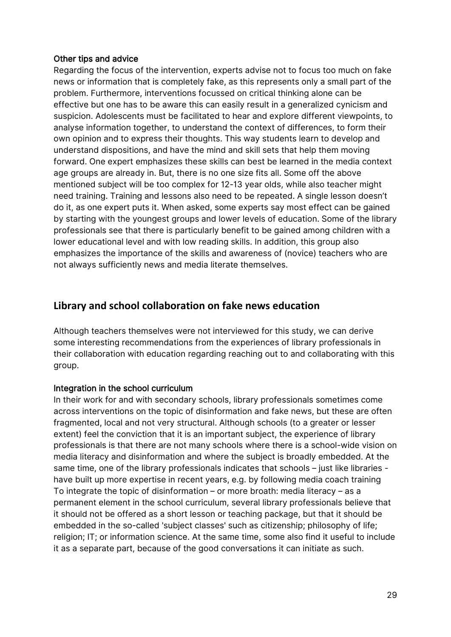#### Other tips and advice

Regarding the focus of the intervention, experts advise not to focus too much on fake news or information that is completely fake, as this represents only a small part of the problem. Furthermore, interventions focussed on critical thinking alone can be effective but one has to be aware this can easily result in a generalized cynicism and suspicion. Adolescents must be facilitated to hear and explore different viewpoints, to analyse information together, to understand the context of differences, to form their own opinion and to express their thoughts. This way students learn to develop and understand dispositions, and have the mind and skill sets that help them moving forward. One expert emphasizes these skills can best be learned in the media context age groups are already in. But, there is no one size fits all. Some off the above mentioned subject will be too complex for 12-13 year olds, while also teacher might need training. Training and lessons also need to be repeated. A single lesson doesn't do it, as one expert puts it. When asked, some experts say most effect can be gained by starting with the youngest groups and lower levels of education. Some of the library professionals see that there is particularly benefit to be gained among children with a lower educational level and with low reading skills. In addition, this group also emphasizes the importance of the skills and awareness of (novice) teachers who are not always sufficiently news and media literate themselves.

#### **Library and school collaboration on fake news education**

Although teachers themselves were not interviewed for this study, we can derive some interesting recommendations from the experiences of library professionals in their collaboration with education regarding reaching out to and collaborating with this group.

#### Integration in the school curriculum

In their work for and with secondary schools, library professionals sometimes come across interventions on the topic of disinformation and fake news, but these are often fragmented, local and not very structural. Although schools (to a greater or lesser extent) feel the conviction that it is an important subject, the experience of library professionals is that there are not many schools where there is a school-wide vision on media literacy and disinformation and where the subject is broadly embedded. At the same time, one of the library professionals indicates that schools – just like libraries have built up more expertise in recent years, e.g. by following media coach training To integrate the topic of disinformation – or more broath: media literacy – as a permanent element in the school curriculum, several library professionals believe that it should not be offered as a short lesson or teaching package, but that it should be embedded in the so-called 'subject classes' such as citizenship; philosophy of life; religion; IT; or information science. At the same time, some also find it useful to include it as a separate part, because of the good conversations it can initiate as such.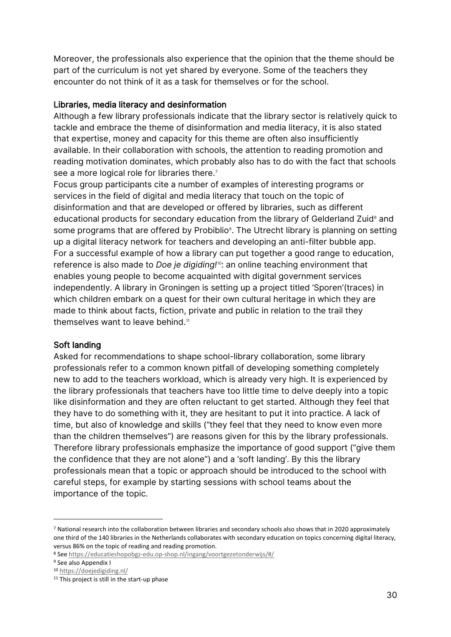Moreover, the professionals also experience that the opinion that the theme should be part of the curriculum is not yet shared by everyone. Some of the teachers they encounter do not think of it as a task for themselves or for the school.

#### Libraries, media literacy and desinformation

Although a few library professionals indicate that the library sector is relatively quick to tackle and embrace the theme of disinformation and media literacy, it is also stated that expertise, money and capacity for this theme are often also insufficiently available. In their collaboration with schools, the attention to reading promotion and reading motivation dominates, which probably also has to do with the fact that schools see a more logical role for libraries there.<sup>[7](#page-29-0)</sup>

Focus group participants cite a number of examples of interesting programs or services in the field of digital and media literacy that touch on the topic of disinformation and that are developed or offered by libraries, such as different educational products for secondary education from the library of Gelderland Zuid<sup>[8](#page-29-1)</sup> and some programs that are offered by Probiblio $^{\circ}$ . The Utrecht library is planning on setting up a digital literacy network for teachers and developing an anti-filter bubble app. For a successful example of how a library can put together a good range to education, reference is also made to *Doe je digiding![10](#page-29-3)*: an online teaching environment that enables young people to become acquainted with digital government services independently. A library in Groningen is setting up a project titled 'Sporen'(traces) in which children embark on a quest for their own cultural heritage in which they are made to think about facts, fiction, private and public in relation to the trail they themselves want to leave behind. $^{\shortparallel}$ 

#### Soft landing

Asked for recommendations to shape school-library collaboration, some library professionals refer to a common known pitfall of developing something completely new to add to the teachers workload, which is already very high. It is experienced by the library professionals that teachers have too little time to delve deeply into a topic like disinformation and they are often reluctant to get started. Although they feel that they have to do something with it, they are hesitant to put it into practice. A lack of time, but also of knowledge and skills ("they feel that they need to know even more than the children themselves") are reasons given for this by the library professionals. Therefore library professionals emphasize the importance of good support ("give them the confidence that they are not alone") and a 'soft landing'. By this the library professionals mean that a topic or approach should be introduced to the school with careful steps, for example by starting sessions with school teams about the importance of the topic.

<span id="page-29-0"></span><sup>7</sup> National research into the collaboration between libraries and secondary schools also shows that in 2020 approximately one third of the 140 libraries in the Netherlands collaborates with secondary education on topics concerning digital literacy, versus 86% on the topic of reading and reading promotion.

<span id="page-29-1"></span><sup>8</sup> See<https://educatieshopobgz-edu.op-shop.nl/ingang/voortgezetonderwijs/#/>

<span id="page-29-2"></span><sup>&</sup>lt;sup>9</sup> See also Appendix I

<span id="page-29-3"></span><sup>10</sup> <https://doejedigiding.nl/>

<span id="page-29-4"></span><sup>&</sup>lt;sup>11</sup> This project is still in the start-up phase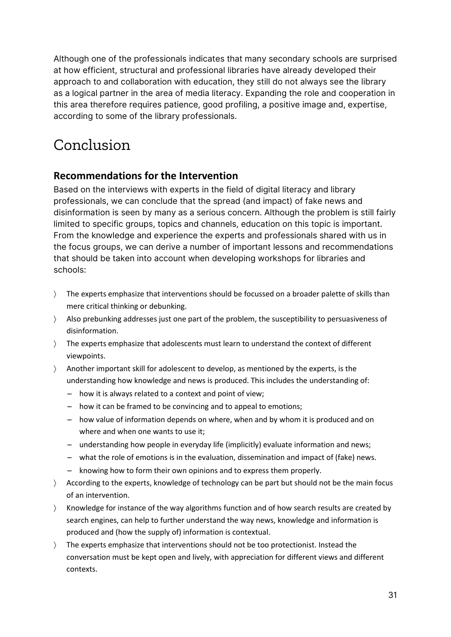Although one of the professionals indicates that many secondary schools are surprised at how efficient, structural and professional libraries have already developed their approach to and collaboration with education, they still do not always see the library as a logical partner in the area of media literacy. Expanding the role and cooperation in this area therefore requires patience, good profiling, a positive image and, expertise, according to some of the library professionals.

### Conclusion

#### **Recommendations for the Intervention**

Based on the interviews with experts in the field of digital literacy and library professionals, we can conclude that the spread (and impact) of fake news and disinformation is seen by many as a serious concern. Although the problem is still fairly limited to specific groups, topics and channels, education on this topic is important. From the knowledge and experience the experts and professionals shared with us in the focus groups, we can derive a number of important lessons and recommendations that should be taken into account when developing workshops for libraries and schools:

- 〉 The experts emphasize that interventions should be focussed on a broader palette of skills than mere critical thinking or debunking.
- 〉 Also prebunking addresses just one part of the problem, the susceptibility to persuasiveness of disinformation.
- 〉 The experts emphasize that adolescents must learn to understand the context of different viewpoints.
- 〉 Another important skill for adolescent to develop, as mentioned by the experts, is the understanding how knowledge and news is produced. This includes the understanding of:
	- how it is always related to a context and point of view;
	- how it can be framed to be convincing and to appeal to emotions;
	- how value of information depends on where, when and by whom it is produced and on where and when one wants to use it;
	- understanding how people in everyday life (implicitly) evaluate information and news;
	- what the role of emotions is in the evaluation, dissemination and impact of (fake) news.
	- knowing how to form their own opinions and to express them properly.
- 〉 According to the experts, knowledge of technology can be part but should not be the main focus of an intervention.
- 〉 Knowledge for instance of the way algorithms function and of how search results are created by search engines, can help to further understand the way news, knowledge and information is produced and (how the supply of) information is contextual.
- 〉 The experts emphasize that interventions should not be too protectionist. Instead the conversation must be kept open and lively, with appreciation for different views and different contexts.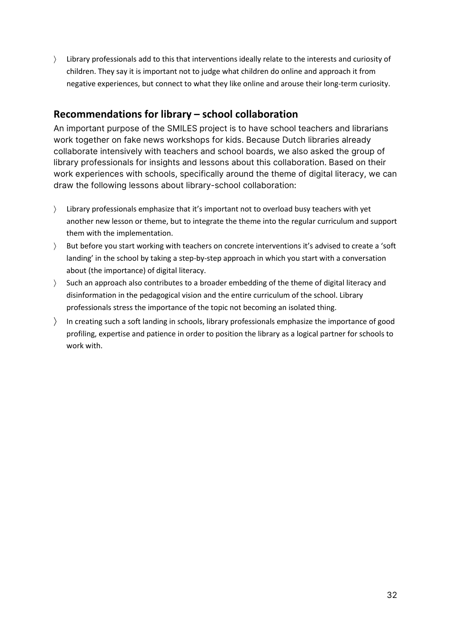〉 Library professionals add to this that interventions ideally relate to the interests and curiosity of children. They say it is important not to judge what children do online and approach it from negative experiences, but connect to what they like online and arouse their long-term curiosity.

#### **Recommendations for library – school collaboration**

An important purpose of the SMILES project is to have school teachers and librarians work together on fake news workshops for kids. Because Dutch libraries already collaborate intensively with teachers and school boards, we also asked the group of library professionals for insights and lessons about this collaboration. Based on their work experiences with schools, specifically around the theme of digital literacy, we can draw the following lessons about library-school collaboration:

- 〉 Library professionals emphasize that it's important not to overload busy teachers with yet another new lesson or theme, but to integrate the theme into the regular curriculum and support them with the implementation.
- 〉 But before you start working with teachers on concrete interventions it's advised to create a 'soft landing' in the school by taking a step-by-step approach in which you start with a conversation about (the importance) of digital literacy.
- 〉 Such an approach also contributes to a broader embedding of the theme of digital literacy and disinformation in the pedagogical vision and the entire curriculum of the school. Library professionals stress the importance of the topic not becoming an isolated thing.
- 〉 In creating such a soft landing in schools, library professionals emphasize the importance of good profiling, expertise and patience in order to position the library as a logical partner for schools to work with.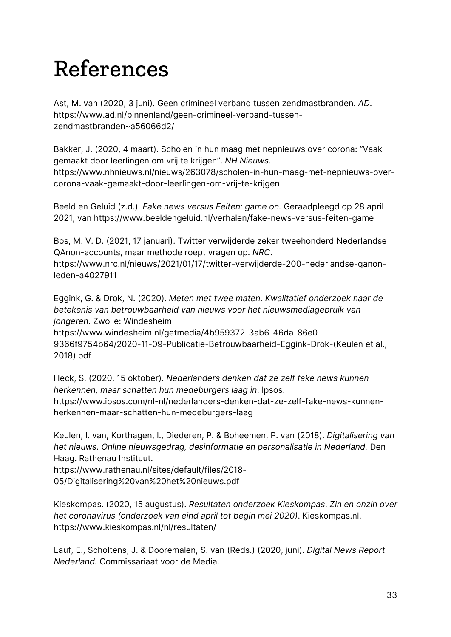## References

Ast, M. van (2020, 3 juni). Geen crimineel verband tussen zendmastbranden. *AD*. [https://www.ad.nl/binnenland/geen-crimineel-verband-tussen](https://www.ad.nl/binnenland/geen-crimineel-verband-tussen-zendmastbranden%7Ea56066d2/)[zendmastbranden~a56066d2/](https://www.ad.nl/binnenland/geen-crimineel-verband-tussen-zendmastbranden%7Ea56066d2/)

Bakker, J. (2020, 4 maart). Scholen in hun maag met nepnieuws over corona: "Vaak gemaakt door leerlingen om vrij te krijgen". *NH Nieuws*. [https://www.nhnieuws.nl/nieuws/263078/scholen-in-hun-maag-met-nepnieuws-over](https://www.nhnieuws.nl/nieuws/263078/scholen-in-hun-maag-met-nepnieuws-over-corona-vaak-gemaakt-door-leerlingen-om-vrij-te-krijgen)[corona-vaak-gemaakt-door-leerlingen-om-vrij-te-krijgen](https://www.nhnieuws.nl/nieuws/263078/scholen-in-hun-maag-met-nepnieuws-over-corona-vaak-gemaakt-door-leerlingen-om-vrij-te-krijgen)

Beeld en Geluid (z.d.). *Fake news versus Feiten: game on.* Geraadpleegd op 28 april 2021, van<https://www.beeldengeluid.nl/verhalen/fake-news-versus-feiten-game>

Bos, M. V. D. (2021, 17 januari). Twitter verwijderde zeker tweehonderd Nederlandse QAnon-accounts, maar methode roept vragen op. *NRC*.

[https://www.nrc.nl/nieuws/2021/01/17/twitter-verwijderde-200-nederlandse-qanon](https://www.nrc.nl/nieuws/2021/01/17/twitter-verwijderde-200-nederlandse-qanon-leden-a4027911)[leden-a4027911](https://www.nrc.nl/nieuws/2021/01/17/twitter-verwijderde-200-nederlandse-qanon-leden-a4027911)

Eggink, G. & Drok, N. (2020). *Meten met twee maten. Kwalitatief onderzoek naar de betekenis van betrouwbaarheid van nieuws voor het nieuwsmediagebruik van jongeren.* Zwolle: Windesheim [https://www.windesheim.nl/getmedia/4b959372-3ab6-46da-86e0-](https://www.windesheim.nl/getmedia/4b959372-3ab6-46da-86e0-9366f9754b64/2020-11-09-Publicatie-Betrouwbaarheid-Eggink-Drok-(1).pdf) [9366f9754b64/2020-11-09-Publicatie-Betrouwbaarheid-Eggink-Drok-\(Keulen et al.,](https://www.windesheim.nl/getmedia/4b959372-3ab6-46da-86e0-9366f9754b64/2020-11-09-Publicatie-Betrouwbaarheid-Eggink-Drok-(1).pdf) 

[2018\).pdf](https://www.windesheim.nl/getmedia/4b959372-3ab6-46da-86e0-9366f9754b64/2020-11-09-Publicatie-Betrouwbaarheid-Eggink-Drok-(1).pdf)

Heck, S. (2020, 15 oktober). *Nederlanders denken dat ze zelf fake news kunnen herkennen, maar schatten hun medeburgers laag in*. Ipsos. [https://www.ipsos.com/nl-nl/nederlanders-denken-dat-ze-zelf-fake-news-kunnen](https://www.ipsos.com/nl-nl/nederlanders-denken-dat-ze-zelf-fake-news-kunnen-herkennen-maar-schatten-hun-medeburgers-laag)[herkennen-maar-schatten-hun-medeburgers-laag](https://www.ipsos.com/nl-nl/nederlanders-denken-dat-ze-zelf-fake-news-kunnen-herkennen-maar-schatten-hun-medeburgers-laag)

Keulen, I. van, Korthagen, I., Diederen, P. & Boheemen, P. van (2018). *Digitalisering van het nieuws. Online nieuwsgedrag, desinformatie en personalisatie in Nederland.* Den Haag. Rathenau Instituut.

[https://www.rathenau.nl/sites/default/files/2018-](https://www.rathenau.nl/sites/default/files/2018-05/Digitalisering%20van%20het%20nieuws.pdf) [05/Digitalisering%20van%20het%20nieuws.pdf](https://www.rathenau.nl/sites/default/files/2018-05/Digitalisering%20van%20het%20nieuws.pdf)

Kieskompas. (2020, 15 augustus). *Resultaten onderzoek Kieskompas*. *Zin en onzin over het coronavirus (onderzoek van eind april tot begin mei 2020)*. Kieskompas.nl. <https://www.kieskompas.nl/nl/resultaten/>

Lauf, E., Scholtens, J. & Dooremalen, S. van (Reds.) (2020, juni). *Digital News Report Nederland.* Commissariaat voor de Media.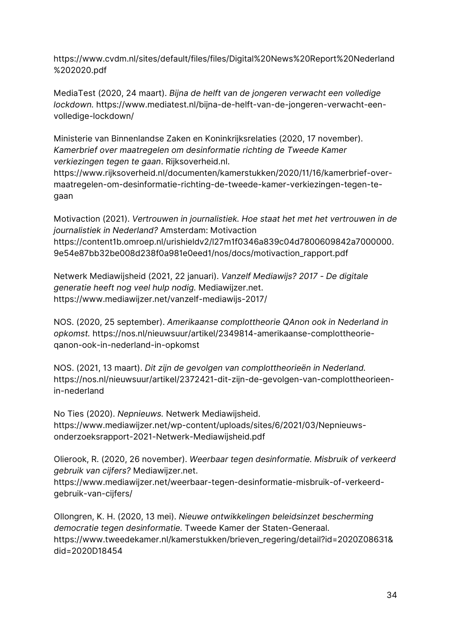[https://www.cvdm.nl/sites/default/files/files/Digital%20News%20Report%20Nederland](https://www.cvdm.nl/sites/default/files/files/Digital%20News%20Report%20Nederland%202020.pdf) [%202020.pdf](https://www.cvdm.nl/sites/default/files/files/Digital%20News%20Report%20Nederland%202020.pdf)

MediaTest (2020, 24 maart). *Bijna de helft van de jongeren verwacht een volledige lockdown.* [https://www.mediatest.nl/bijna-de-helft-van-de-jongeren-verwacht-een](https://www.mediatest.nl/bijna-de-helft-van-de-jongeren-verwacht-een-volledige-lockdown/)[volledige-lockdown/](https://www.mediatest.nl/bijna-de-helft-van-de-jongeren-verwacht-een-volledige-lockdown/)

Ministerie van Binnenlandse Zaken en Koninkrijksrelaties (2020, 17 november). *Kamerbrief over maatregelen om desinformatie richting de Tweede Kamer verkiezingen tegen te gaan*. Rijksoverheid.nl.

[https://www.rijksoverheid.nl/documenten/kamerstukken/2020/11/16/kamerbrief-over](https://www.rijksoverheid.nl/documenten/kamerstukken/2020/11/16/kamerbrief-over-maatregelen-om-desinformatie-richting-de-tweede-kamer-verkiezingen-tegen-te-gaan)[maatregelen-om-desinformatie-richting-de-tweede-kamer-verkiezingen-tegen-te](https://www.rijksoverheid.nl/documenten/kamerstukken/2020/11/16/kamerbrief-over-maatregelen-om-desinformatie-richting-de-tweede-kamer-verkiezingen-tegen-te-gaan)[gaan](https://www.rijksoverheid.nl/documenten/kamerstukken/2020/11/16/kamerbrief-over-maatregelen-om-desinformatie-richting-de-tweede-kamer-verkiezingen-tegen-te-gaan)

Motivaction (2021). *Vertrouwen in journalistiek. Hoe staat het met het vertrouwen in de journalistiek in Nederland?* Amsterdam: Motivaction [https://content1b.omroep.nl/urishieldv2/l27m1f0346a839c04d7800609842a7000000.](https://content1b.omroep.nl/urishieldv2/l27m1f0346a839c04d7800609842a7000000.9e54e87bb32be008d238f0a981e0eed1/nos/docs/motivaction_rapport.pdf) [9e54e87bb32be008d238f0a981e0eed1/nos/docs/motivaction\\_rapport.pdf](https://content1b.omroep.nl/urishieldv2/l27m1f0346a839c04d7800609842a7000000.9e54e87bb32be008d238f0a981e0eed1/nos/docs/motivaction_rapport.pdf)

Netwerk Mediawijsheid (2021, 22 januari). *Vanzelf Mediawijs? 2017 - De digitale generatie heeft nog veel hulp nodig.* Mediawijzer.net. <https://www.mediawijzer.net/vanzelf-mediawijs-2017/>

NOS. (2020, 25 september). *Amerikaanse complottheorie QAnon ook in Nederland in opkomst.* [https://nos.nl/nieuwsuur/artikel/2349814-amerikaanse-complottheorie](https://nos.nl/nieuwsuur/artikel/2349814-amerikaanse-complottheorie-qanon-ook-in-nederland-in-opkomst)[qanon-ook-in-nederland-in-opkomst](https://nos.nl/nieuwsuur/artikel/2349814-amerikaanse-complottheorie-qanon-ook-in-nederland-in-opkomst)

NOS. (2021, 13 maart). *Dit zijn de gevolgen van complottheorieën in Nederland.* [https://nos.nl/nieuwsuur/artikel/2372421-dit-zijn-de-gevolgen-van-complottheorieen](https://nos.nl/nieuwsuur/artikel/2372421-dit-zijn-de-gevolgen-van-complottheorieen-in-nederland)[in-nederland](https://nos.nl/nieuwsuur/artikel/2372421-dit-zijn-de-gevolgen-van-complottheorieen-in-nederland)

No Ties (2020). *Nepnieuws.* Netwerk Mediawijsheid. [https://www.mediawijzer.net/wp-content/uploads/sites/6/2021/03/Nepnieuws](https://www.mediawijzer.net/wp-content/uploads/sites/6/2021/03/Nepnieuws-onderzoeksrapport-2021-Netwerk-Mediawijsheid.pdf)[onderzoeksrapport-2021-Netwerk-Mediawijsheid.pdf](https://www.mediawijzer.net/wp-content/uploads/sites/6/2021/03/Nepnieuws-onderzoeksrapport-2021-Netwerk-Mediawijsheid.pdf)

Olierook, R. (2020, 26 november). *Weerbaar tegen desinformatie. Misbruik of verkeerd gebruik van cijfers?* Mediawijzer.net.

[https://www.mediawijzer.net/weerbaar-tegen-desinformatie-misbruik-of-verkeerd](https://www.mediawijzer.net/weerbaar-tegen-desinformatie-misbruik-of-verkeerd-gebruik-van-cijfers/)[gebruik-van-cijfers/](https://www.mediawijzer.net/weerbaar-tegen-desinformatie-misbruik-of-verkeerd-gebruik-van-cijfers/)

Ollongren, K. H. (2020, 13 mei). *Nieuwe ontwikkelingen beleidsinzet bescherming democratie tegen desinformatie.* Tweede Kamer der Staten-Generaal. [https://www.tweedekamer.nl/kamerstukken/brieven\\_regering/detail?id=2020Z08631&](https://www.tweedekamer.nl/kamerstukken/brieven_regering/detail?id=2020Z08631&did=2020D18454) [did=2020D18454](https://www.tweedekamer.nl/kamerstukken/brieven_regering/detail?id=2020Z08631&did=2020D18454)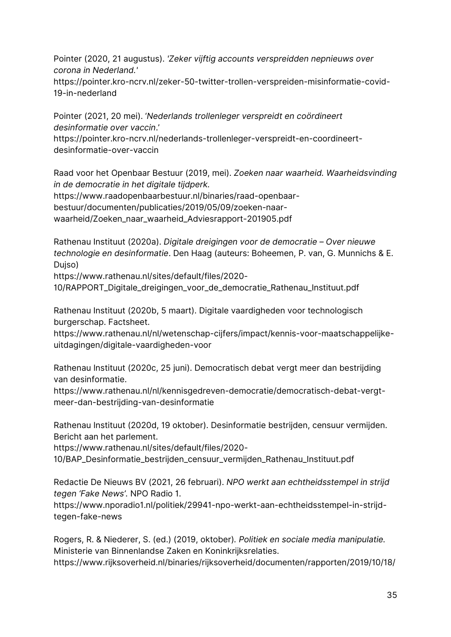Pointer (2020, 21 augustus). *'Zeker vijftig accounts verspreidden nepnieuws over corona in Nederland.'*

[https://pointer.kro-ncrv.nl/zeker-50-twitter-trollen-verspreiden-misinformatie-covid-](https://pointer.kro-ncrv.nl/zeker-50-twitter-trollen-verspreiden-misinformatie-covid-19-in-nederland)[19-in-nederland](https://pointer.kro-ncrv.nl/zeker-50-twitter-trollen-verspreiden-misinformatie-covid-19-in-nederland)

Pointer (2021, 20 mei). '*Nederlands trollenleger verspreidt en coördineert desinformatie over vaccin*.' https://pointer.kro-ncrv.nl/nederlands-trollenleger-verspreidt-en-coordineert-

desinformatie-over-vaccin

Raad voor het Openbaar Bestuur (2019, mei). *Zoeken naar waarheid. Waarheidsvinding in de democratie in het digitale tijdperk.*

[https://www.raadopenbaarbestuur.nl/binaries/raad-openbaar-](https://www.raadopenbaarbestuur.nl/binaries/raad-openbaar-bestuur/documenten/publicaties/2019/05/09/zoeken-naar-waarheid/Zoeken_naar_waarheid_Adviesrapport-201905.pdf)

[bestuur/documenten/publicaties/2019/05/09/zoeken-naar-](https://www.raadopenbaarbestuur.nl/binaries/raad-openbaar-bestuur/documenten/publicaties/2019/05/09/zoeken-naar-waarheid/Zoeken_naar_waarheid_Adviesrapport-201905.pdf)

[waarheid/Zoeken\\_naar\\_waarheid\\_Adviesrapport-201905.pdf](https://www.raadopenbaarbestuur.nl/binaries/raad-openbaar-bestuur/documenten/publicaties/2019/05/09/zoeken-naar-waarheid/Zoeken_naar_waarheid_Adviesrapport-201905.pdf)

Rathenau Instituut (2020a). *Digitale dreigingen voor de democratie – Over nieuwe technologie en desinformatie*. Den Haag (auteurs: Boheemen, P. van, G. Munnichs & E. Dujso)

[https://www.rathenau.nl/sites/default/files/2020-](https://www.rathenau.nl/sites/default/files/2020-10/RAPPORT_Digitale_dreigingen_voor_de_democratie_Rathenau_Instituut.pdf)

[10/RAPPORT\\_Digitale\\_dreigingen\\_voor\\_de\\_democratie\\_Rathenau\\_Instituut.pdf](https://www.rathenau.nl/sites/default/files/2020-10/RAPPORT_Digitale_dreigingen_voor_de_democratie_Rathenau_Instituut.pdf)

Rathenau Instituut (2020b, 5 maart). Digitale vaardigheden voor technologisch burgerschap. Factsheet.

[https://www.rathenau.nl/nl/wetenschap-cijfers/impact/kennis-voor-maatschappelijke](https://www.rathenau.nl/nl/wetenschap-cijfers/impact/kennis-voor-maatschappelijke-uitdagingen/digitale-vaardigheden-voor)[uitdagingen/digitale-vaardigheden-voor](https://www.rathenau.nl/nl/wetenschap-cijfers/impact/kennis-voor-maatschappelijke-uitdagingen/digitale-vaardigheden-voor)

Rathenau Instituut (2020c, 25 juni). Democratisch debat vergt meer dan bestrijding van desinformatie.

[https://www.rathenau.nl/nl/kennisgedreven-democratie/democratisch-debat-vergt](https://www.rathenau.nl/nl/kennisgedreven-democratie/democratisch-debat-vergt-meer-dan-bestrijding-van-desinformatie)[meer-dan-bestrijding-van-desinformatie](https://www.rathenau.nl/nl/kennisgedreven-democratie/democratisch-debat-vergt-meer-dan-bestrijding-van-desinformatie)

Rathenau Instituut (2020d, 19 oktober). Desinformatie bestrijden, censuur vermijden. Bericht aan het parlement.

[https://www.rathenau.nl/sites/default/files/2020-](https://www.rathenau.nl/sites/default/files/2020-10/BAP_Desinformatie_bestrijden_censuur_vermijden_Rathenau_Instituut.pdf)

[10/BAP\\_Desinformatie\\_bestrijden\\_censuur\\_vermijden\\_Rathenau\\_Instituut.pdf](https://www.rathenau.nl/sites/default/files/2020-10/BAP_Desinformatie_bestrijden_censuur_vermijden_Rathenau_Instituut.pdf)

Redactie De Nieuws BV (2021, 26 februari). *NPO werkt aan echtheidsstempel in strijd tegen 'Fake News'.* NPO Radio 1.

[https://www.nporadio1.nl/politiek/29941-npo-werkt-aan-echtheidsstempel-in-strijd](https://www.nporadio1.nl/politiek/29941-npo-werkt-aan-echtheidsstempel-in-strijd-tegen-fake-news)[tegen-fake-news](https://www.nporadio1.nl/politiek/29941-npo-werkt-aan-echtheidsstempel-in-strijd-tegen-fake-news)

Rogers, R. & Niederer, S. (ed.) (2019, oktober)*. Politiek en sociale media manipulatie.*  Ministerie van Binnenlandse Zaken en Koninkrijksrelaties. [https://www.rijksoverheid.nl/binaries/rijksoverheid/documenten/rapporten/2019/10/18/](https://www.rijksoverheid.nl/binaries/rijksoverheid/documenten/rapporten/2019/10/18/rapport-politiek-en-sociale-media-manipulatie/rapport-politiek-en-sociale-media-manipulatie.pdf)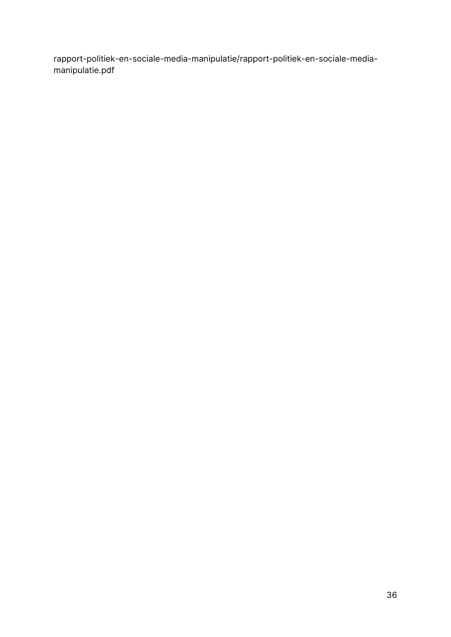[rapport-politiek-en-sociale-media-manipulatie/rapport-politiek-en-sociale-media](https://www.rijksoverheid.nl/binaries/rijksoverheid/documenten/rapporten/2019/10/18/rapport-politiek-en-sociale-media-manipulatie/rapport-politiek-en-sociale-media-manipulatie.pdf)[manipulatie.pdf](https://www.rijksoverheid.nl/binaries/rijksoverheid/documenten/rapporten/2019/10/18/rapport-politiek-en-sociale-media-manipulatie/rapport-politiek-en-sociale-media-manipulatie.pdf)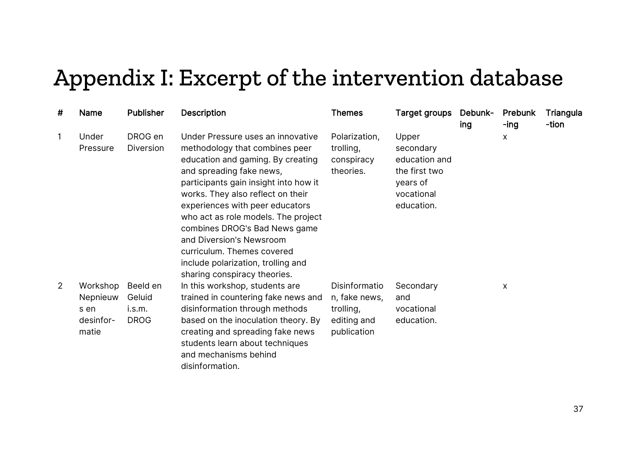## Appendix I: Excerpt of the intervention database

| # | Name                                               | <b>Publisher</b>                            | <b>Description</b>                                                                                                                                                                                                                                                                                                                                                                                                                                            | <b>Themes</b>                                                             | Target groups                                                                                | Debunk-<br>ing | Prebunk<br>-ing | Triangula<br>-tion |
|---|----------------------------------------------------|---------------------------------------------|---------------------------------------------------------------------------------------------------------------------------------------------------------------------------------------------------------------------------------------------------------------------------------------------------------------------------------------------------------------------------------------------------------------------------------------------------------------|---------------------------------------------------------------------------|----------------------------------------------------------------------------------------------|----------------|-----------------|--------------------|
| 1 | Under<br>Pressure                                  | DROG en<br>Diversion                        | Under Pressure uses an innovative<br>methodology that combines peer<br>education and gaming. By creating<br>and spreading fake news,<br>participants gain insight into how it<br>works. They also reflect on their<br>experiences with peer educators<br>who act as role models. The project<br>combines DROG's Bad News game<br>and Diversion's Newsroom<br>curriculum. Themes covered<br>include polarization, trolling and<br>sharing conspiracy theories. | Polarization,<br>trolling,<br>conspiracy<br>theories.                     | Upper<br>secondary<br>education and<br>the first two<br>years of<br>vocational<br>education. |                | X               |                    |
| 2 | Workshop<br>Nepnieuw<br>s en<br>desinfor-<br>matie | Beeld en<br>Geluid<br>i.s.m.<br><b>DROG</b> | In this workshop, students are<br>trained in countering fake news and<br>disinformation through methods<br>based on the inoculation theory. By<br>creating and spreading fake news<br>students learn about techniques<br>and mechanisms behind<br>disinformation.                                                                                                                                                                                             | Disinformatio<br>n, fake news,<br>trolling,<br>editing and<br>publication | Secondary<br>and<br>vocational<br>education.                                                 |                | X               |                    |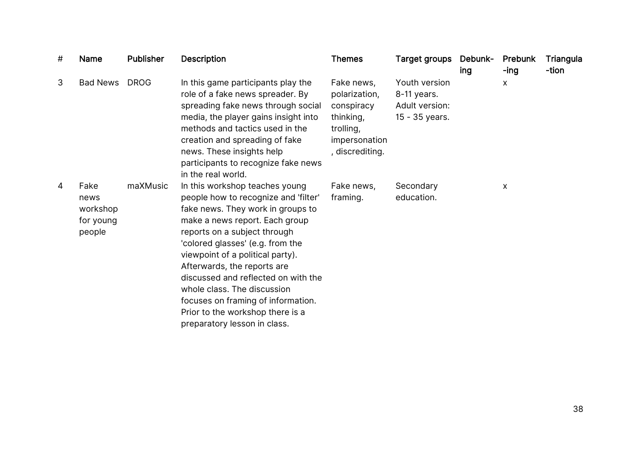| # | <b>Name</b>                                     | <b>Publisher</b> | <b>Description</b>                                                                                                                                                                                                                                                                                                                                                                                                                                                   | <b>Themes</b>                                                                                           | Target groups                                                    | Debunk-<br>ing | Prebunk<br>-ing | Triangula<br>-tion |
|---|-------------------------------------------------|------------------|----------------------------------------------------------------------------------------------------------------------------------------------------------------------------------------------------------------------------------------------------------------------------------------------------------------------------------------------------------------------------------------------------------------------------------------------------------------------|---------------------------------------------------------------------------------------------------------|------------------------------------------------------------------|----------------|-----------------|--------------------|
| 3 | <b>Bad News</b>                                 | <b>DROG</b>      | In this game participants play the<br>role of a fake news spreader. By<br>spreading fake news through social<br>media, the player gains insight into<br>methods and tactics used in the<br>creation and spreading of fake<br>news. These insights help<br>participants to recognize fake news<br>in the real world.                                                                                                                                                  | Fake news,<br>polarization,<br>conspiracy<br>thinking,<br>trolling,<br>impersonation<br>, discrediting. | Youth version<br>8-11 years.<br>Adult version:<br>15 - 35 years. |                | X               |                    |
| 4 | Fake<br>news<br>workshop<br>for young<br>people | maXMusic         | In this workshop teaches young<br>people how to recognize and 'filter'<br>fake news. They work in groups to<br>make a news report. Each group<br>reports on a subject through<br>'colored glasses' (e.g. from the<br>viewpoint of a political party).<br>Afterwards, the reports are<br>discussed and reflected on with the<br>whole class. The discussion<br>focuses on framing of information.<br>Prior to the workshop there is a<br>preparatory lesson in class. | Fake news,<br>framing.                                                                                  | Secondary<br>education.                                          |                | X               |                    |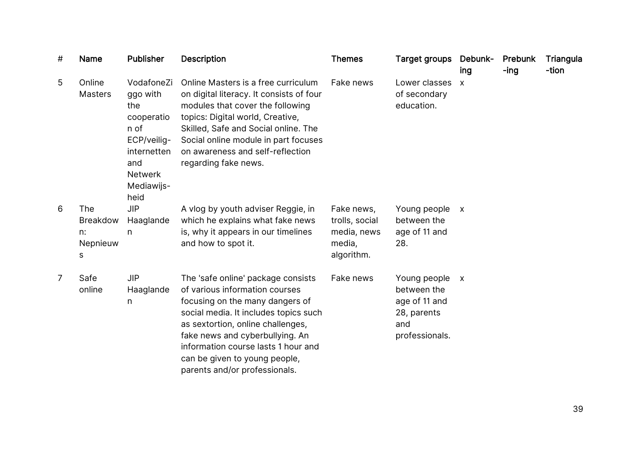| # | Name                                                 | <b>Publisher</b>                                                                                                                 | <b>Description</b>                                                                                                                                                                                                                                                                                                                | <b>Themes</b>                                                       | Target groups Debunk-                                                                | ing                       | Prebunk<br>-ing | Triangula<br>-tion |
|---|------------------------------------------------------|----------------------------------------------------------------------------------------------------------------------------------|-----------------------------------------------------------------------------------------------------------------------------------------------------------------------------------------------------------------------------------------------------------------------------------------------------------------------------------|---------------------------------------------------------------------|--------------------------------------------------------------------------------------|---------------------------|-----------------|--------------------|
| 5 | Online<br><b>Masters</b>                             | VodafoneZi<br>ggo with<br>the<br>cooperatio<br>n of<br>ECP/veilig-<br>internetten<br>and<br><b>Netwerk</b><br>Mediawijs-<br>heid | Online Masters is a free curriculum<br>on digital literacy. It consists of four<br>modules that cover the following<br>topics: Digital world, Creative,<br>Skilled, Safe and Social online. The<br>Social online module in part focuses<br>on awareness and self-reflection<br>regarding fake news.                               | Fake news                                                           | Lower classes<br>of secondary<br>education.                                          | $\mathsf{X}$              |                 |                    |
| 6 | <b>The</b><br><b>Breakdow</b><br>n:<br>Nepnieuw<br>S | <b>JIP</b><br>Haaglande<br>n                                                                                                     | A vlog by youth adviser Reggie, in<br>which he explains what fake news<br>is, why it appears in our timelines<br>and how to spot it.                                                                                                                                                                                              | Fake news,<br>trolls, social<br>media, news<br>media,<br>algorithm. | Young people<br>between the<br>age of 11 and<br>28.                                  | $\boldsymbol{\mathsf{X}}$ |                 |                    |
| 7 | Safe<br>online                                       | <b>JIP</b><br>Haaglande<br>$\mathsf{n}$                                                                                          | The 'safe online' package consists<br>of various information courses<br>focusing on the many dangers of<br>social media. It includes topics such<br>as sextortion, online challenges,<br>fake news and cyberbullying. An<br>information course lasts 1 hour and<br>can be given to young people,<br>parents and/or professionals. | Fake news                                                           | Young people<br>between the<br>age of 11 and<br>28, parents<br>and<br>professionals. | $\boldsymbol{X}$          |                 |                    |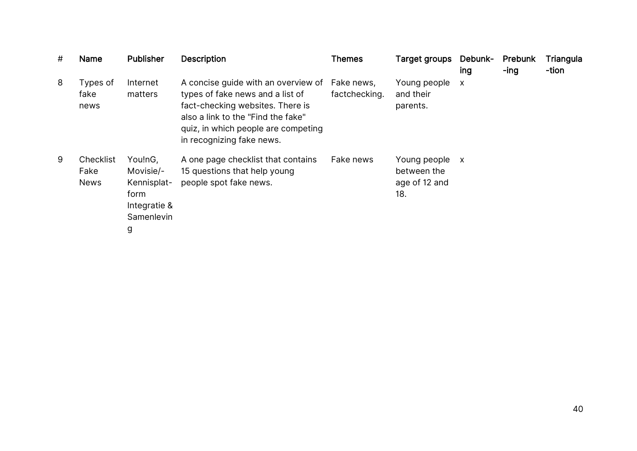| # | <b>Name</b>                      | <b>Publisher</b>                                                               | <b>Description</b>                                                                                                                                                                                                    | <b>Themes</b>               | Target groups                                       | Debunk-<br>ing            | Prebunk<br>-ing | Triangula<br>-tion |
|---|----------------------------------|--------------------------------------------------------------------------------|-----------------------------------------------------------------------------------------------------------------------------------------------------------------------------------------------------------------------|-----------------------------|-----------------------------------------------------|---------------------------|-----------------|--------------------|
| 8 | Types of<br>fake<br>news         | Internet<br>matters                                                            | A concise guide with an overview of<br>types of fake news and a list of<br>fact-checking websites. There is<br>also a link to the "Find the fake"<br>quiz, in which people are competing<br>in recognizing fake news. | Fake news,<br>factchecking. | Young people<br>and their<br>parents.               | $\boldsymbol{\mathsf{X}}$ |                 |                    |
| 9 | Checklist<br>Fake<br><b>News</b> | You!nG,<br>Movisie/-<br>Kennisplat-<br>form<br>Integratie &<br>Samenlevin<br>g | A one page checklist that contains<br>15 questions that help young<br>people spot fake news.                                                                                                                          | Fake news                   | Young people<br>between the<br>age of 12 and<br>18. | $\mathsf{X}$              |                 |                    |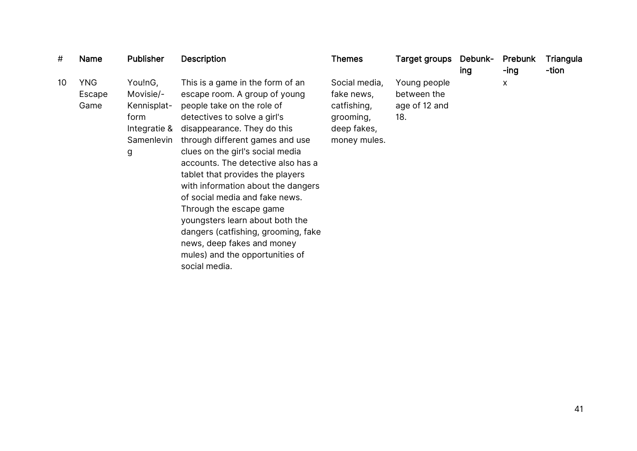| #  | Name                         | <b>Publisher</b>                                                               | <b>Description</b>                                                                                                                                                                                                                                                                                                                                                                                                                                                                                                                                                             | <b>Themes</b>                                                                          | Target groups                                       | Debunk-<br>ing | Prebunk<br>-ing | Triangula<br>-tion |
|----|------------------------------|--------------------------------------------------------------------------------|--------------------------------------------------------------------------------------------------------------------------------------------------------------------------------------------------------------------------------------------------------------------------------------------------------------------------------------------------------------------------------------------------------------------------------------------------------------------------------------------------------------------------------------------------------------------------------|----------------------------------------------------------------------------------------|-----------------------------------------------------|----------------|-----------------|--------------------|
| 10 | <b>YNG</b><br>Escape<br>Game | You!nG,<br>Movisie/-<br>Kennisplat-<br>form<br>Integratie &<br>Samenlevin<br>g | This is a game in the form of an<br>escape room. A group of young<br>people take on the role of<br>detectives to solve a girl's<br>disappearance. They do this<br>through different games and use<br>clues on the girl's social media<br>accounts. The detective also has a<br>tablet that provides the players<br>with information about the dangers<br>of social media and fake news.<br>Through the escape game<br>youngsters learn about both the<br>dangers (catfishing, grooming, fake<br>news, deep fakes and money<br>mules) and the opportunities of<br>social media. | Social media,<br>fake news,<br>catfishing,<br>grooming,<br>deep fakes,<br>money mules. | Young people<br>between the<br>age of 12 and<br>18. |                | X               |                    |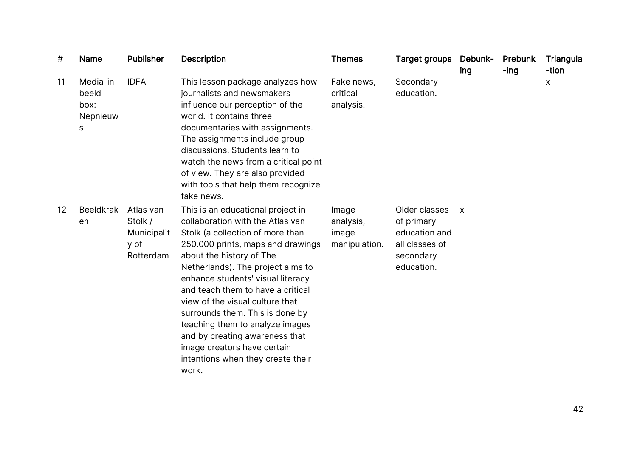| #  | Name                                        | <b>Publisher</b>                                         | <b>Description</b>                                                                                                                                                                                                                                                                                                                                                                                                                                                                                                | <b>Themes</b>                                | Target groups                                                                             | Debunk-<br>ing | Prebunk<br>$-$ ing | Triangula<br>-tion |
|----|---------------------------------------------|----------------------------------------------------------|-------------------------------------------------------------------------------------------------------------------------------------------------------------------------------------------------------------------------------------------------------------------------------------------------------------------------------------------------------------------------------------------------------------------------------------------------------------------------------------------------------------------|----------------------------------------------|-------------------------------------------------------------------------------------------|----------------|--------------------|--------------------|
| 11 | Media-in-<br>beeld<br>box:<br>Nepnieuw<br>s | <b>IDFA</b>                                              | This lesson package analyzes how<br>journalists and newsmakers<br>influence our perception of the<br>world. It contains three<br>documentaries with assignments.<br>The assignments include group<br>discussions. Students learn to<br>watch the news from a critical point<br>of view. They are also provided<br>with tools that help them recognize<br>fake news.                                                                                                                                               | Fake news,<br>critical<br>analysis.          | Secondary<br>education.                                                                   |                |                    | x                  |
| 12 | <b>Beeldkrak</b><br>en                      | Atlas van<br>Stolk /<br>Municipalit<br>y of<br>Rotterdam | This is an educational project in<br>collaboration with the Atlas van<br>Stolk (a collection of more than<br>250.000 prints, maps and drawings<br>about the history of The<br>Netherlands). The project aims to<br>enhance students' visual literacy<br>and teach them to have a critical<br>view of the visual culture that<br>surrounds them. This is done by<br>teaching them to analyze images<br>and by creating awareness that<br>image creators have certain<br>intentions when they create their<br>work. | Image<br>analysis,<br>image<br>manipulation. | Older classes<br>of primary<br>education and<br>all classes of<br>secondary<br>education. | $\mathsf{x}$   |                    |                    |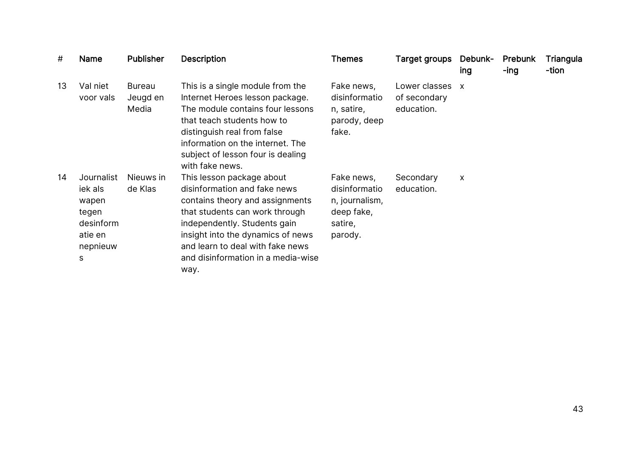| #  | Name                                                                             | <b>Publisher</b>            | <b>Description</b>                                                                                                                                                                                                                                                                    | <b>Themes</b>                                                                     | Target groups                               | Debunk-<br>ing            | Prebunk<br>-ing | Triangula<br>-tion |
|----|----------------------------------------------------------------------------------|-----------------------------|---------------------------------------------------------------------------------------------------------------------------------------------------------------------------------------------------------------------------------------------------------------------------------------|-----------------------------------------------------------------------------------|---------------------------------------------|---------------------------|-----------------|--------------------|
| 13 | Val niet<br>voor vals                                                            | Bureau<br>Jeugd en<br>Media | This is a single module from the<br>Internet Heroes lesson package.<br>The module contains four lessons<br>that teach students how to<br>distinguish real from false<br>information on the internet. The<br>subject of lesson four is dealing<br>with fake news.                      | Fake news,<br>disinformatio<br>n, satire,<br>parody, deep<br>fake.                | Lower classes<br>of secondary<br>education. | $\boldsymbol{\mathsf{x}}$ |                 |                    |
| 14 | Journalist<br>iek als<br>wapen<br>tegen<br>desinform<br>atie en<br>nepnieuw<br>S | Nieuws in<br>de Klas        | This lesson package about<br>disinformation and fake news<br>contains theory and assignments<br>that students can work through<br>independently. Students gain<br>insight into the dynamics of news<br>and learn to deal with fake news<br>and disinformation in a media-wise<br>way. | Fake news,<br>disinformatio<br>n, journalism,<br>deep fake,<br>satire,<br>parody. | Secondary<br>education.                     | X                         |                 |                    |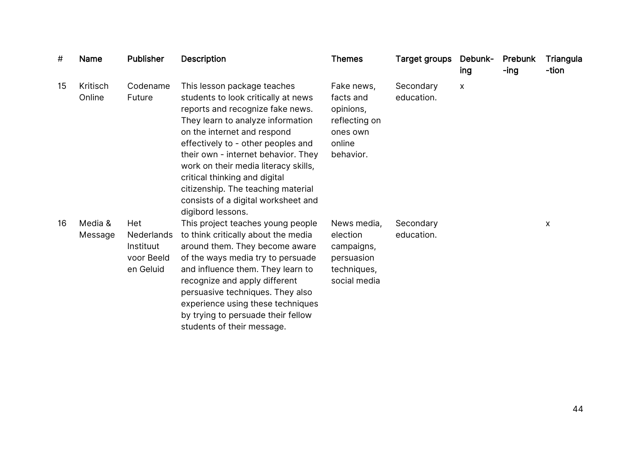| #  | <b>Name</b>        | <b>Publisher</b>                                          | <b>Description</b>                                                                                                                                                                                                                                                                                                                                                                                                                 | <b>Themes</b>                                                                            | <b>Target groups</b>    | Debunk-<br>ing | Prebunk<br>-ing | Triangula<br>-tion |
|----|--------------------|-----------------------------------------------------------|------------------------------------------------------------------------------------------------------------------------------------------------------------------------------------------------------------------------------------------------------------------------------------------------------------------------------------------------------------------------------------------------------------------------------------|------------------------------------------------------------------------------------------|-------------------------|----------------|-----------------|--------------------|
| 15 | Kritisch<br>Online | Codename<br>Future                                        | This lesson package teaches<br>students to look critically at news<br>reports and recognize fake news.<br>They learn to analyze information<br>on the internet and respond<br>effectively to - other peoples and<br>their own - internet behavior. They<br>work on their media literacy skills,<br>critical thinking and digital<br>citizenship. The teaching material<br>consists of a digital worksheet and<br>digibord lessons. | Fake news,<br>facts and<br>opinions,<br>reflecting on<br>ones own<br>online<br>behavior. | Secondary<br>education. | X              |                 |                    |
| 16 | Media &<br>Message | Het<br>Nederlands<br>Instituut<br>voor Beeld<br>en Geluid | This project teaches young people<br>to think critically about the media<br>around them. They become aware<br>of the ways media try to persuade<br>and influence them. They learn to<br>recognize and apply different<br>persuasive techniques. They also<br>experience using these techniques<br>by trying to persuade their fellow<br>students of their message.                                                                 | News media,<br>election<br>campaigns,<br>persuasion<br>techniques,<br>social media       | Secondary<br>education. |                |                 | X                  |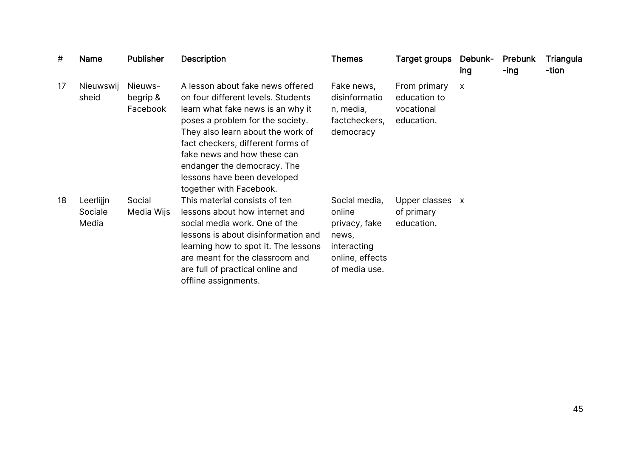| #  | <b>Name</b>                   | <b>Publisher</b>                | <b>Description</b>                                                                                                                                                                                                                                                                                                                                | <b>Themes</b>                                                                                        | <b>Target groups</b>                                     | Debunk-<br>ing | Prebunk<br>-ing | Triangula<br>-tion |
|----|-------------------------------|---------------------------------|---------------------------------------------------------------------------------------------------------------------------------------------------------------------------------------------------------------------------------------------------------------------------------------------------------------------------------------------------|------------------------------------------------------------------------------------------------------|----------------------------------------------------------|----------------|-----------------|--------------------|
| 17 | Nieuwswij<br>sheid            | Nieuws-<br>begrip &<br>Facebook | A lesson about fake news offered<br>on four different levels. Students<br>learn what fake news is an why it<br>poses a problem for the society.<br>They also learn about the work of<br>fact checkers, different forms of<br>fake news and how these can<br>endanger the democracy. The<br>lessons have been developed<br>together with Facebook. | Fake news,<br>disinformatio<br>n, media,<br>factcheckers,<br>democracy                               | From primary<br>education to<br>vocational<br>education. | X              |                 |                    |
| 18 | Leerlijjn<br>Sociale<br>Media | Social<br>Media Wijs            | This material consists of ten<br>lessons about how internet and<br>social media work. One of the<br>lessons is about disinformation and<br>learning how to spot it. The lessons<br>are meant for the classroom and<br>are full of practical online and<br>offline assignments.                                                                    | Social media,<br>online<br>privacy, fake<br>news,<br>interacting<br>online, effects<br>of media use. | Upper classes x<br>of primary<br>education.              |                |                 |                    |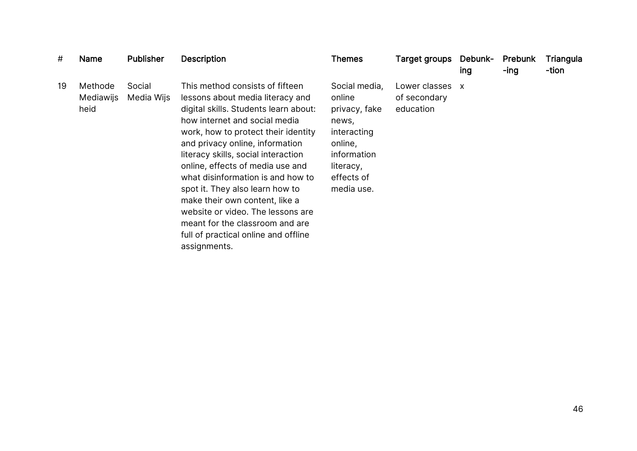| #  | Name                         | <b>Publisher</b>     | <b>Description</b>                                                                                                                                                                                                                                                                                                                                                                                                                                                                                                                           | <b>Themes</b>                                                                                                                       | Target groups                              | Debunk-<br>ing            | <b>Prebunk</b><br>-ing | Triangula<br>-tion |
|----|------------------------------|----------------------|----------------------------------------------------------------------------------------------------------------------------------------------------------------------------------------------------------------------------------------------------------------------------------------------------------------------------------------------------------------------------------------------------------------------------------------------------------------------------------------------------------------------------------------------|-------------------------------------------------------------------------------------------------------------------------------------|--------------------------------------------|---------------------------|------------------------|--------------------|
| 19 | Methode<br>Mediawijs<br>heid | Social<br>Media Wijs | This method consists of fifteen<br>lessons about media literacy and<br>digital skills. Students learn about:<br>how internet and social media<br>work, how to protect their identity<br>and privacy online, information<br>literacy skills, social interaction<br>online, effects of media use and<br>what disinformation is and how to<br>spot it. They also learn how to<br>make their own content, like a<br>website or video. The lessons are<br>meant for the classroom and are<br>full of practical online and offline<br>assignments. | Social media,<br>online<br>privacy, fake<br>news,<br>interacting<br>online,<br>information<br>literacy,<br>effects of<br>media use. | Lower classes<br>of secondary<br>education | $\boldsymbol{\mathsf{x}}$ |                        |                    |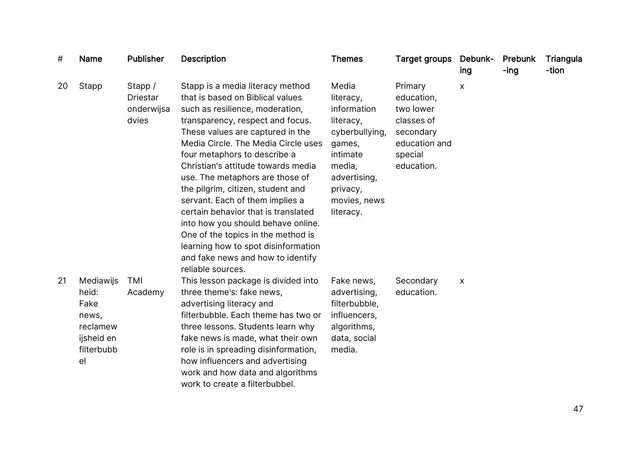| #  | <b>Name</b>                                                                       | <b>Publisher</b>                                  | <b>Description</b>                                                                                                                                                                                                                                                                                                                                                                                                                                                                                                                                                                                                          | <b>Themes</b>                                                                                                                                             | <b>Target groups</b>                                                                                    | Debunk-<br>ing | Prebunk<br>$-$ ing | Triangula<br>-tion |
|----|-----------------------------------------------------------------------------------|---------------------------------------------------|-----------------------------------------------------------------------------------------------------------------------------------------------------------------------------------------------------------------------------------------------------------------------------------------------------------------------------------------------------------------------------------------------------------------------------------------------------------------------------------------------------------------------------------------------------------------------------------------------------------------------------|-----------------------------------------------------------------------------------------------------------------------------------------------------------|---------------------------------------------------------------------------------------------------------|----------------|--------------------|--------------------|
| 20 | Stapp                                                                             | Stapp /<br><b>Driestar</b><br>onderwijsa<br>dvies | Stapp is a media literacy method<br>that is based on Biblical values<br>such as resilience, moderation,<br>transparency, respect and focus.<br>These values are captured in the<br>Media Circle. The Media Circle uses<br>four metaphors to describe a<br>Christian's attitude towards media<br>use. The metaphors are those of<br>the pilgrim, citizen, student and<br>servant. Each of them implies a<br>certain behavior that is translated<br>into how you should behave online.<br>One of the topics in the method is<br>learning how to spot disinformation<br>and fake news and how to identify<br>reliable sources. | Media<br>literacy,<br>information<br>literacy,<br>cyberbullying,<br>games,<br>intimate<br>media,<br>advertising,<br>privacy,<br>movies, news<br>literacy. | Primary<br>education,<br>two lower<br>classes of<br>secondary<br>education and<br>special<br>education. | X              |                    |                    |
| 21 | Mediawijs<br>heid:<br>Fake<br>news,<br>reclamew<br>ijsheid en<br>filterbubb<br>el | TMI<br>Academy                                    | This lesson package is divided into<br>three theme's: fake news,<br>advertising literacy and<br>filterbubble. Each theme has two or<br>three lessons. Students learn why<br>fake news is made, what their own<br>role is in spreading disinformation,<br>how influencers and advertising<br>work and how data and algorithms<br>work to create a filterbubbel.                                                                                                                                                                                                                                                              | Fake news,<br>advertising,<br>filterbubble,<br>influencers,<br>algorithms,<br>data, social<br>media.                                                      | Secondary<br>education.                                                                                 | X              |                    |                    |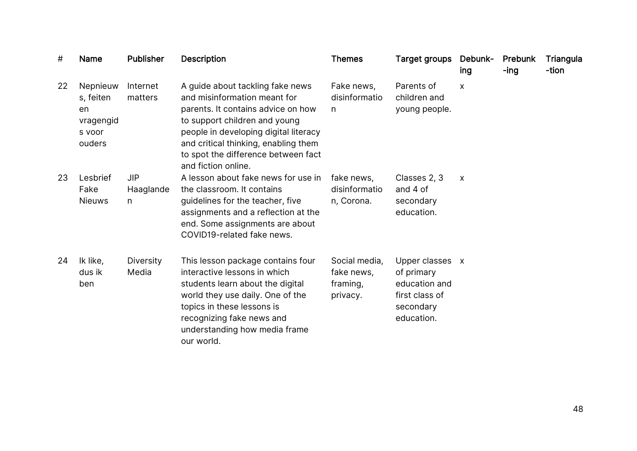| #  | <b>Name</b>                                                  | <b>Publisher</b>             | <b>Description</b>                                                                                                                                                                                                                                                                     | <b>Themes</b>                                       | <b>Target groups</b>                                                                        | Debunk-<br>ing   | Prebunk<br>-ing | Triangula<br>-tion |
|----|--------------------------------------------------------------|------------------------------|----------------------------------------------------------------------------------------------------------------------------------------------------------------------------------------------------------------------------------------------------------------------------------------|-----------------------------------------------------|---------------------------------------------------------------------------------------------|------------------|-----------------|--------------------|
| 22 | Nepnieuw<br>s, feiten<br>en<br>vragengid<br>s voor<br>ouders | Internet<br>matters          | A guide about tackling fake news<br>and misinformation meant for<br>parents. It contains advice on how<br>to support children and young<br>people in developing digital literacy<br>and critical thinking, enabling them<br>to spot the difference between fact<br>and fiction online. | Fake news,<br>disinformatio<br>n                    | Parents of<br>children and<br>young people.                                                 | X                |                 |                    |
| 23 | Lesbrief<br>Fake<br><b>Nieuws</b>                            | <b>JIP</b><br>Haaglande<br>n | A lesson about fake news for use in<br>the classroom. It contains<br>guidelines for the teacher, five<br>assignments and a reflection at the<br>end. Some assignments are about<br>COVID19-related fake news.                                                                          | fake news,<br>disinformatio<br>n, Corona.           | Classes 2, 3<br>and 4 of<br>secondary<br>education.                                         | $\boldsymbol{X}$ |                 |                    |
| 24 | Ik like,<br>dus ik<br>ben                                    | Diversity<br>Media           | This lesson package contains four<br>interactive lessons in which<br>students learn about the digital<br>world they use daily. One of the<br>topics in these lessons is<br>recognizing fake news and<br>understanding how media frame<br>our world.                                    | Social media,<br>fake news,<br>framing,<br>privacy. | Upper classes x<br>of primary<br>education and<br>first class of<br>secondary<br>education. |                  |                 |                    |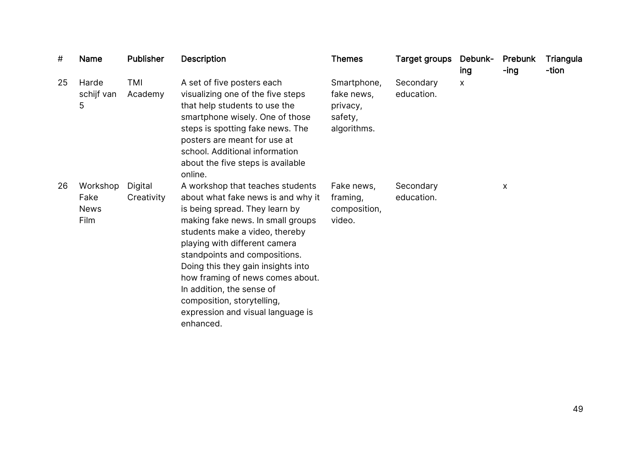| #  | <b>Name</b>                             | <b>Publisher</b>      | <b>Description</b>                                                                                                                                                                                                                                                                                                                                                                                                                       | <b>Themes</b>                                                   | Target groups           | Debunk-<br>ing | Prebunk<br>-ing | Triangula<br>-tion |
|----|-----------------------------------------|-----------------------|------------------------------------------------------------------------------------------------------------------------------------------------------------------------------------------------------------------------------------------------------------------------------------------------------------------------------------------------------------------------------------------------------------------------------------------|-----------------------------------------------------------------|-------------------------|----------------|-----------------|--------------------|
| 25 | Harde<br>schijf van<br>5                | TMI<br>Academy        | A set of five posters each<br>visualizing one of the five steps<br>that help students to use the<br>smartphone wisely. One of those<br>steps is spotting fake news. The<br>posters are meant for use at<br>school. Additional information<br>about the five steps is available<br>online.                                                                                                                                                | Smartphone,<br>fake news,<br>privacy,<br>safety,<br>algorithms. | Secondary<br>education. | X              |                 |                    |
| 26 | Workshop<br>Fake<br><b>News</b><br>Film | Digital<br>Creativity | A workshop that teaches students<br>about what fake news is and why it<br>is being spread. They learn by<br>making fake news. In small groups<br>students make a video, thereby<br>playing with different camera<br>standpoints and compositions.<br>Doing this they gain insights into<br>how framing of news comes about.<br>In addition, the sense of<br>composition, storytelling,<br>expression and visual language is<br>enhanced. | Fake news,<br>framing,<br>composition,<br>video.                | Secondary<br>education. |                | X               |                    |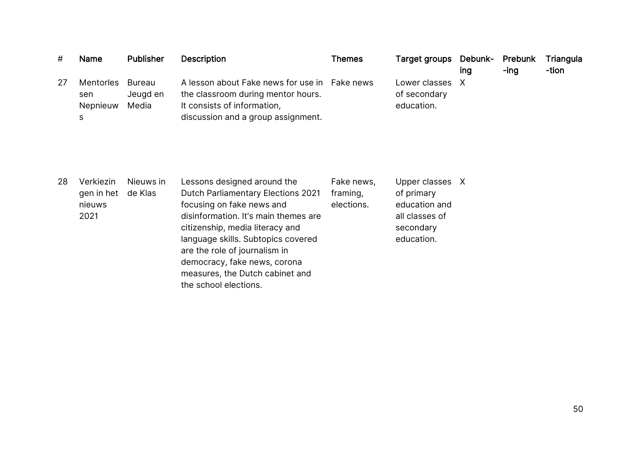| #  | <b>Name</b>                              | <b>Publisher</b>            | <b>Description</b>                                                                                                                                       | <b>Themes</b> | Target groups Debunk-                       | ing | Prebunk<br>-ing | Triangula<br>-tion |
|----|------------------------------------------|-----------------------------|----------------------------------------------------------------------------------------------------------------------------------------------------------|---------------|---------------------------------------------|-----|-----------------|--------------------|
| 27 | <b>Mentorles</b><br>sen<br>Nepnieuw<br>S | Bureau<br>Jeugd en<br>Media | A lesson about Fake news for use in Fake news<br>the classroom during mentor hours.<br>It consists of information,<br>discussion and a group assignment. |               | Lower classes<br>of secondary<br>education. | X   |                 |                    |

| 28 | Verkiezin<br>gen in het<br>nieuws<br>2021 | Nieuws in<br>de Klas | Lessons designed around the<br>Dutch Parliamentary Elections 2021<br>focusing on fake news and<br>disinformation. It's main themes are<br>citizenship, media literacy and<br>language skills. Subtopics covered<br>are the role of journalism in<br>democracy, fake news, corona<br>measures, the Dutch cabinet and<br>the school elections. | Fake news,<br>framing,<br>elections. | Upper classes X<br>of primary<br>education and<br>all classes of<br>secondary<br>education. |  |
|----|-------------------------------------------|----------------------|----------------------------------------------------------------------------------------------------------------------------------------------------------------------------------------------------------------------------------------------------------------------------------------------------------------------------------------------|--------------------------------------|---------------------------------------------------------------------------------------------|--|
|----|-------------------------------------------|----------------------|----------------------------------------------------------------------------------------------------------------------------------------------------------------------------------------------------------------------------------------------------------------------------------------------------------------------------------------------|--------------------------------------|---------------------------------------------------------------------------------------------|--|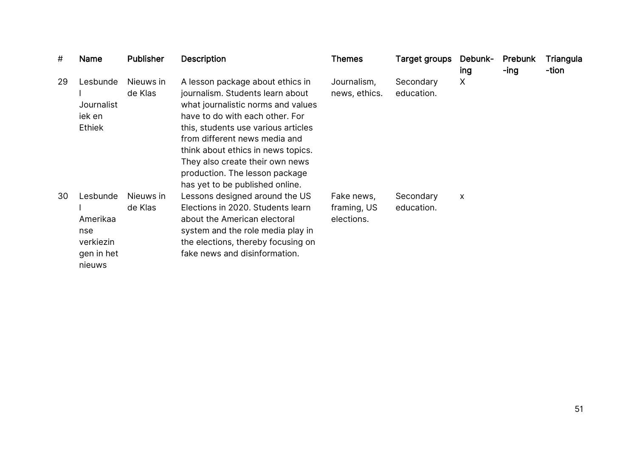| #  | Name                                                             | <b>Publisher</b>     | <b>Description</b>                                                                                                                                                                                                                                                                                                                                                  | <b>Themes</b>                           | Target groups           | Debunk-<br>ing | Prebunk<br>-ing | Triangula<br>-tion |
|----|------------------------------------------------------------------|----------------------|---------------------------------------------------------------------------------------------------------------------------------------------------------------------------------------------------------------------------------------------------------------------------------------------------------------------------------------------------------------------|-----------------------------------------|-------------------------|----------------|-----------------|--------------------|
| 29 | Lesbunde<br>Journalist<br>iek en<br><b>Ethiek</b>                | Nieuws in<br>de Klas | A lesson package about ethics in<br>journalism. Students learn about<br>what journalistic norms and values<br>have to do with each other. For<br>this, students use various articles<br>from different news media and<br>think about ethics in news topics.<br>They also create their own news<br>production. The lesson package<br>has yet to be published online. | Journalism,<br>news, ethics.            | Secondary<br>education. | X              |                 |                    |
| 30 | Lesbunde<br>Amerikaa<br>nse<br>verkiezin<br>gen in het<br>nieuws | Nieuws in<br>de Klas | Lessons designed around the US<br>Elections in 2020. Students learn<br>about the American electoral<br>system and the role media play in<br>the elections, thereby focusing on<br>fake news and disinformation.                                                                                                                                                     | Fake news,<br>framing, US<br>elections. | Secondary<br>education. | X              |                 |                    |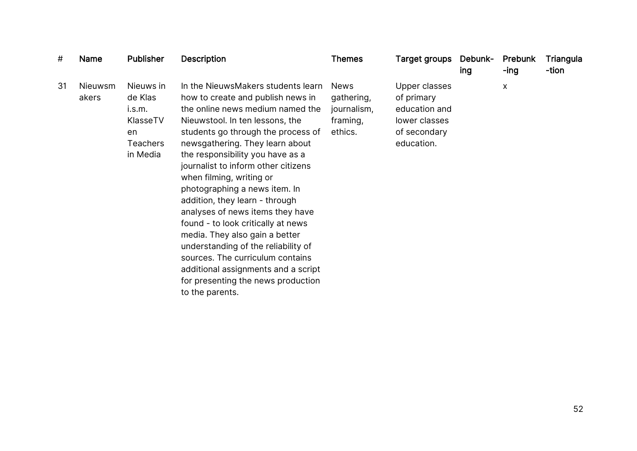| #  | Name             | <b>Publisher</b>                                                                | <b>Description</b>                                                                                                                                                                                                                                                                                                                                                                                                                                                                                                                                                                                                                                                                       | <b>Themes</b>                                                   | Target groups                                                                               | Debunk-<br>ing | Prebunk<br>-ing | Triangula<br>-tion |
|----|------------------|---------------------------------------------------------------------------------|------------------------------------------------------------------------------------------------------------------------------------------------------------------------------------------------------------------------------------------------------------------------------------------------------------------------------------------------------------------------------------------------------------------------------------------------------------------------------------------------------------------------------------------------------------------------------------------------------------------------------------------------------------------------------------------|-----------------------------------------------------------------|---------------------------------------------------------------------------------------------|----------------|-----------------|--------------------|
| 31 | Nieuwsm<br>akers | Nieuws in<br>de Klas<br>i.s.m.<br>KlasseTV<br>en<br><b>Teachers</b><br>in Media | In the NieuwsMakers students learn<br>how to create and publish news in<br>the online news medium named the<br>Nieuwstool. In ten lessons, the<br>students go through the process of<br>newsgathering. They learn about<br>the responsibility you have as a<br>journalist to inform other citizens<br>when filming, writing or<br>photographing a news item. In<br>addition, they learn - through<br>analyses of news items they have<br>found - to look critically at news<br>media. They also gain a better<br>understanding of the reliability of<br>sources. The curriculum contains<br>additional assignments and a script<br>for presenting the news production<br>to the parents. | <b>News</b><br>gathering,<br>journalism,<br>framing,<br>ethics. | Upper classes<br>of primary<br>education and<br>lower classes<br>of secondary<br>education. |                | X               |                    |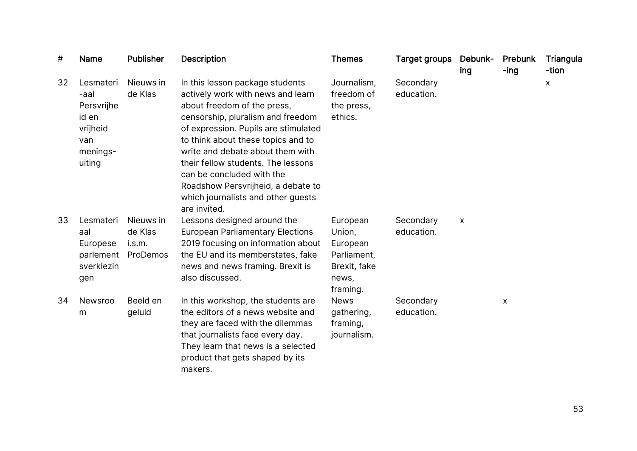| #  | <b>Name</b>                                                                       | <b>Publisher</b>                           | <b>Description</b>                                                                                                                                                                                                                                                                                                                                                                                                        | <b>Themes</b>                                                                      | <b>Target groups</b>    | Debunk-<br>ing | <b>Prebunk</b><br>$-$ ing | Triangula<br>-tion |
|----|-----------------------------------------------------------------------------------|--------------------------------------------|---------------------------------------------------------------------------------------------------------------------------------------------------------------------------------------------------------------------------------------------------------------------------------------------------------------------------------------------------------------------------------------------------------------------------|------------------------------------------------------------------------------------|-------------------------|----------------|---------------------------|--------------------|
| 32 | Lesmateri<br>-aal<br>Persvrijhe<br>id en<br>vrijheid<br>van<br>menings-<br>uiting | Nieuws in<br>de Klas                       | In this lesson package students<br>actively work with news and learn<br>about freedom of the press,<br>censorship, pluralism and freedom<br>of expression. Pupils are stimulated<br>to think about these topics and to<br>write and debate about them with<br>their fellow students. The lessons<br>can be concluded with the<br>Roadshow Persvrijheid, a debate to<br>which journalists and other guests<br>are invited. | Journalism,<br>freedom of<br>the press,<br>ethics.                                 | Secondary<br>education. |                |                           | $\pmb{\mathsf{X}}$ |
| 33 | Lesmateri<br>aal<br>Europese<br>parlement<br>sverkiezin<br>gen                    | Nieuws in<br>de Klas<br>i.s.m.<br>ProDemos | Lessons designed around the<br><b>European Parliamentary Elections</b><br>2019 focusing on information about<br>the EU and its memberstates, fake<br>news and news framing. Brexit is<br>also discussed.                                                                                                                                                                                                                  | European<br>Union,<br>European<br>Parliament,<br>Brexit, fake<br>news,<br>framing. | Secondary<br>education. | X              |                           |                    |
| 34 | Newsroo<br>m                                                                      | Beeld en<br>geluid                         | In this workshop, the students are<br>the editors of a news website and<br>they are faced with the dilemmas<br>that journalists face every day.<br>They learn that news is a selected<br>product that gets shaped by its<br>makers.                                                                                                                                                                                       | <b>News</b><br>gathering,<br>framing,<br>journalism.                               | Secondary<br>education. |                | X                         |                    |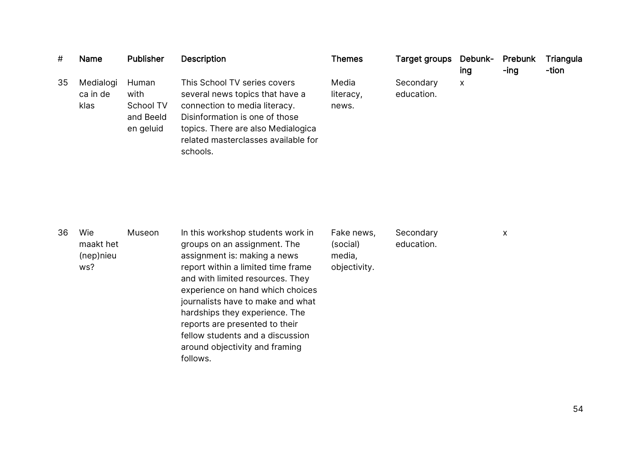| #  | <b>Name</b>                          | <b>Publisher</b>                                     | <b>Description</b>                                                                                                                                                                                                                                                                                                                                                                                         | <b>Themes</b>                                    | Target groups           | Debunk-<br>ing | Prebunk<br>-ing | Triangula<br>-tion |
|----|--------------------------------------|------------------------------------------------------|------------------------------------------------------------------------------------------------------------------------------------------------------------------------------------------------------------------------------------------------------------------------------------------------------------------------------------------------------------------------------------------------------------|--------------------------------------------------|-------------------------|----------------|-----------------|--------------------|
| 35 | Medialogi<br>ca in de<br>klas        | Human<br>with<br>School TV<br>and Beeld<br>en geluid | This School TV series covers<br>several news topics that have a<br>connection to media literacy.<br>Disinformation is one of those<br>topics. There are also Medialogica<br>related masterclasses available for<br>schools.                                                                                                                                                                                | Media<br>literacy,<br>news.                      | Secondary<br>education. | $\mathsf{X}$   |                 |                    |
| 36 | Wie<br>maakt het<br>(nep)nieu<br>ws? | Museon                                               | In this workshop students work in<br>groups on an assignment. The<br>assignment is: making a news<br>report within a limited time frame<br>and with limited resources. They<br>experience on hand which choices<br>journalists have to make and what<br>hardships they experience. The<br>reports are presented to their<br>fellow students and a discussion<br>around objectivity and framing<br>follows. | Fake news,<br>(social)<br>media,<br>objectivity. | Secondary<br>education. |                | X               |                    |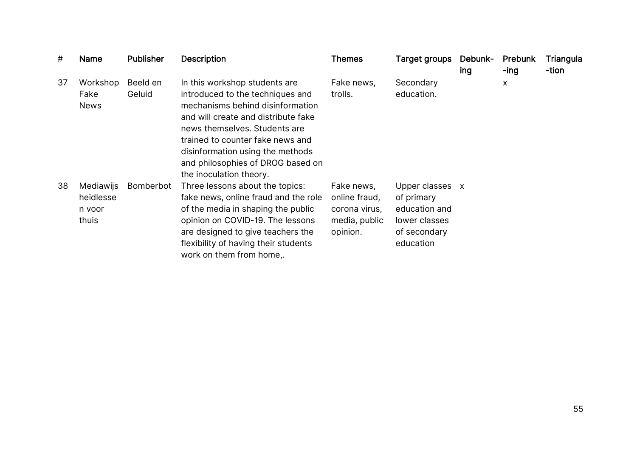| #  | Name                                      | <b>Publisher</b>   | <b>Description</b>                                                                                                                                                                                                                                                                                                    | <b>Themes</b>                                                             | Target groups                                                                                | Debunk-<br>ing | Prebunk<br>-ing | Triangula<br>-tion |
|----|-------------------------------------------|--------------------|-----------------------------------------------------------------------------------------------------------------------------------------------------------------------------------------------------------------------------------------------------------------------------------------------------------------------|---------------------------------------------------------------------------|----------------------------------------------------------------------------------------------|----------------|-----------------|--------------------|
| 37 | Workshop<br>Fake<br><b>News</b>           | Beeld en<br>Geluid | In this workshop students are<br>introduced to the techniques and<br>mechanisms behind disinformation<br>and will create and distribute fake<br>news themselves. Students are<br>trained to counter fake news and<br>disinformation using the methods<br>and philosophies of DROG based on<br>the inoculation theory. | Fake news,<br>trolls.                                                     | Secondary<br>education.                                                                      |                | X               |                    |
| 38 | Mediawijs<br>heidlesse<br>n voor<br>thuis | Bomberbot          | Three lessons about the topics:<br>fake news, online fraud and the role<br>of the media in shaping the public<br>opinion on COVID-19. The lessons<br>are designed to give teachers the<br>flexibility of having their students<br>work on them from home,.                                                            | Fake news,<br>online fraud,<br>corona virus,<br>media, public<br>opinion. | Upper classes x<br>of primary<br>education and<br>lower classes<br>of secondary<br>education |                |                 |                    |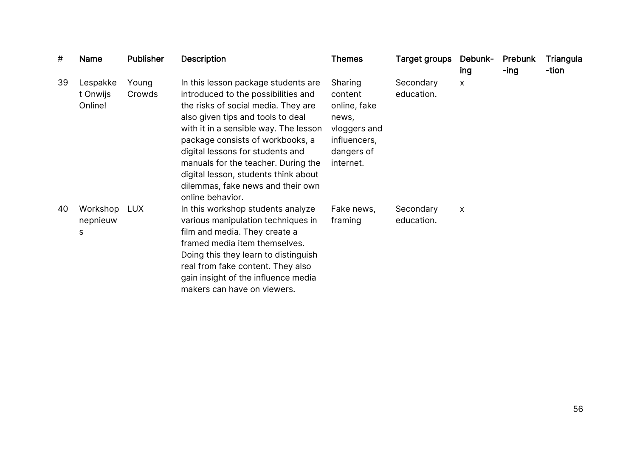| #  | Name                            | <b>Publisher</b> | <b>Description</b>                                                                                                                                                                                                                                                                                                                                                                                              | Themes                                                                                                 | <b>Target groups</b>    | Debunk-<br>ing | Prebunk<br>-ing | Triangula<br>-tion |
|----|---------------------------------|------------------|-----------------------------------------------------------------------------------------------------------------------------------------------------------------------------------------------------------------------------------------------------------------------------------------------------------------------------------------------------------------------------------------------------------------|--------------------------------------------------------------------------------------------------------|-------------------------|----------------|-----------------|--------------------|
| 39 | Lespakke<br>t Onwijs<br>Online! | Young<br>Crowds  | In this lesson package students are<br>introduced to the possibilities and<br>the risks of social media. They are<br>also given tips and tools to deal<br>with it in a sensible way. The lesson<br>package consists of workbooks, a<br>digital lessons for students and<br>manuals for the teacher. During the<br>digital lesson, students think about<br>dilemmas, fake news and their own<br>online behavior. | Sharing<br>content<br>online, fake<br>news,<br>vloggers and<br>influencers,<br>dangers of<br>internet. | Secondary<br>education. | X              |                 |                    |
| 40 | Workshop<br>nepnieuw<br>S       | <b>LUX</b>       | In this workshop students analyze<br>various manipulation techniques in<br>film and media. They create a<br>framed media item themselves.<br>Doing this they learn to distinguish<br>real from fake content. They also<br>gain insight of the influence media<br>makers can have on viewers.                                                                                                                    | Fake news,<br>framing                                                                                  | Secondary<br>education. | X              |                 |                    |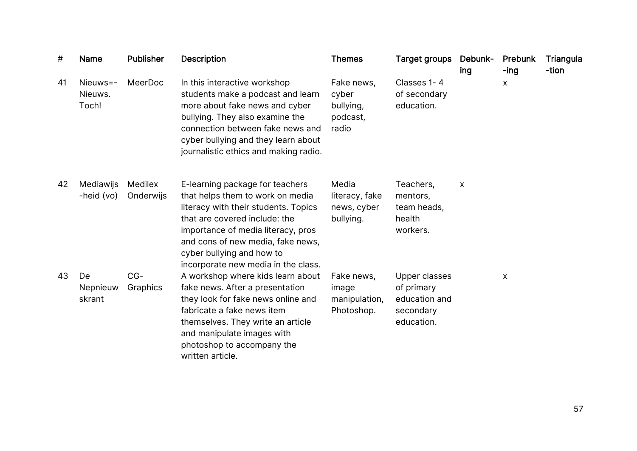| #  | Name                         | <b>Publisher</b>     | <b>Description</b>                                                                                                                                                                                                                                                                          | <b>Themes</b>                                         | Target groups                                                           | Debunk-<br>ing | Prebunk<br>-ing | Triangula<br>-tion |
|----|------------------------------|----------------------|---------------------------------------------------------------------------------------------------------------------------------------------------------------------------------------------------------------------------------------------------------------------------------------------|-------------------------------------------------------|-------------------------------------------------------------------------|----------------|-----------------|--------------------|
| 41 | Nieuws=-<br>Nieuws.<br>Toch! | MeerDoc              | In this interactive workshop<br>students make a podcast and learn<br>more about fake news and cyber<br>bullying. They also examine the<br>connection between fake news and<br>cyber bullying and they learn about<br>journalistic ethics and making radio.                                  | Fake news,<br>cyber<br>bullying,<br>podcast,<br>radio | Classes 1-4<br>of secondary<br>education.                               |                | X               |                    |
| 42 | Mediawijs<br>-heid (vo)      | Medilex<br>Onderwijs | E-learning package for teachers<br>that helps them to work on media<br>literacy with their students. Topics<br>that are covered include: the<br>importance of media literacy, pros<br>and cons of new media, fake news,<br>cyber bullying and how to<br>incorporate new media in the class. | Media<br>literacy, fake<br>news, cyber<br>bullying.   | Teachers,<br>mentors,<br>team heads,<br>health<br>workers.              | X              |                 |                    |
| 43 | De<br>Nepnieuw<br>skrant     | $CG-$<br>Graphics    | A workshop where kids learn about<br>fake news. After a presentation<br>they look for fake news online and<br>fabricate a fake news item<br>themselves. They write an article<br>and manipulate images with<br>photoshop to accompany the<br>written article.                               | Fake news,<br>image<br>manipulation,<br>Photoshop.    | Upper classes<br>of primary<br>education and<br>secondary<br>education. |                | X               |                    |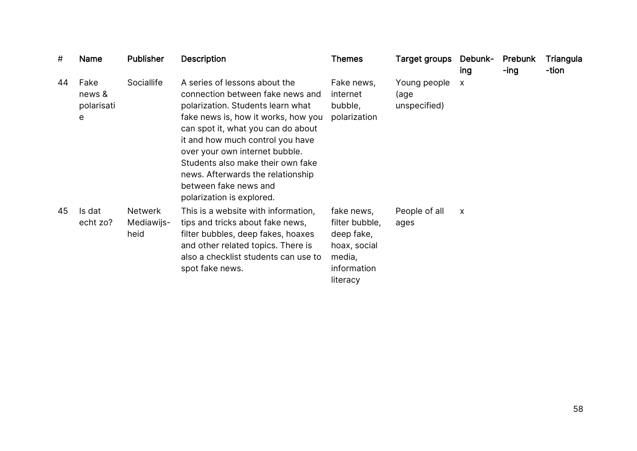| #  | <b>Name</b>                       | <b>Publisher</b>                     | <b>Description</b>                                                                                                                                                                                                                                                                                                                                                                        | <b>Themes</b>                                                                                   | Target groups                        | Debunk-<br>ing            | Prebunk<br>-ing | Triangula<br>-tion |
|----|-----------------------------------|--------------------------------------|-------------------------------------------------------------------------------------------------------------------------------------------------------------------------------------------------------------------------------------------------------------------------------------------------------------------------------------------------------------------------------------------|-------------------------------------------------------------------------------------------------|--------------------------------------|---------------------------|-----------------|--------------------|
| 44 | Fake<br>news &<br>polarisati<br>e | Sociallife                           | A series of lessons about the<br>connection between fake news and<br>polarization. Students learn what<br>fake news is, how it works, how you<br>can spot it, what you can do about<br>it and how much control you have<br>over your own internet bubble.<br>Students also make their own fake<br>news. Afterwards the relationship<br>between fake news and<br>polarization is explored. | Fake news,<br>internet<br>bubble,<br>polarization                                               | Young people<br>(age<br>unspecified) | $\boldsymbol{\mathsf{X}}$ |                 |                    |
| 45 | Is dat<br>echt zo?                | <b>Netwerk</b><br>Mediawijs-<br>heid | This is a website with information,<br>tips and tricks about fake news,<br>filter bubbles, deep fakes, hoaxes<br>and other related topics. There is<br>also a checklist students can use to<br>spot fake news.                                                                                                                                                                            | fake news,<br>filter bubble,<br>deep fake,<br>hoax, social<br>media,<br>information<br>literacy | People of all<br>ages                | X                         |                 |                    |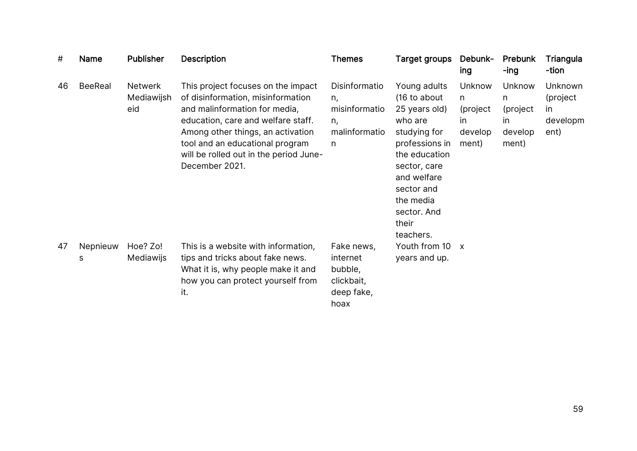| #  | Name           | <b>Publisher</b>                    | <b>Description</b>                                                                                                                                                                                                                                                                 | <b>Themes</b>                                                         | Target groups                                                                                                                                                                                              | Debunk-<br>ing                                       | <b>Prebunk</b><br>-ing                                    | Triangula<br>-tion                            |
|----|----------------|-------------------------------------|------------------------------------------------------------------------------------------------------------------------------------------------------------------------------------------------------------------------------------------------------------------------------------|-----------------------------------------------------------------------|------------------------------------------------------------------------------------------------------------------------------------------------------------------------------------------------------------|------------------------------------------------------|-----------------------------------------------------------|-----------------------------------------------|
| 46 | <b>BeeReal</b> | <b>Netwerk</b><br>Mediawijsh<br>eid | This project focuses on the impact<br>of disinformation, misinformation<br>and malinformation for media,<br>education, care and welfare staff.<br>Among other things, an activation<br>tool and an educational program<br>will be rolled out in the period June-<br>December 2021. | Disinformatio<br>n,<br>misinformatio<br>n,<br>malinformatio<br>n      | Young adults<br>(16 to about<br>25 years old)<br>who are<br>studying for<br>professions in<br>the education<br>sector, care<br>and welfare<br>sector and<br>the media<br>sector. And<br>their<br>teachers. | Unknow<br>n.<br>(project)<br>in.<br>develop<br>ment) | Unknow<br>n.<br>(project<br><i>in</i><br>develop<br>ment) | Unknown<br>(project<br>in<br>developm<br>ent) |
| 47 | Nepnieuw<br>S  | Hoe? Zo!<br>Mediawijs               | This is a website with information,<br>tips and tricks about fake news.<br>What it is, why people make it and<br>how you can protect yourself from<br>it.                                                                                                                          | Fake news,<br>internet<br>bubble,<br>clickbait,<br>deep fake,<br>hoax | Youth from 10<br>years and up.                                                                                                                                                                             | $\mathsf{X}$                                         |                                                           |                                               |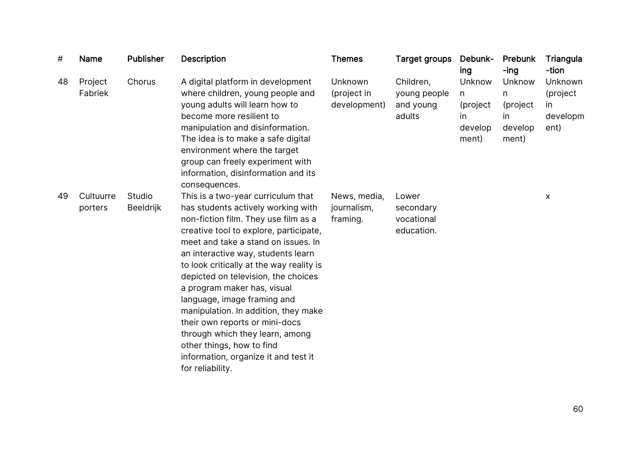| #  | <b>Name</b>          | Publisher                  | <b>Description</b>                                                                                                                                                                                                                                                                                                                                                                                                                                                                                                                                                                             | <b>Themes</b>                           | Target groups                                    | Debunk-<br>ing                                      | Prebunk<br>-ing                                    | Triangula<br>-tion                             |
|----|----------------------|----------------------------|------------------------------------------------------------------------------------------------------------------------------------------------------------------------------------------------------------------------------------------------------------------------------------------------------------------------------------------------------------------------------------------------------------------------------------------------------------------------------------------------------------------------------------------------------------------------------------------------|-----------------------------------------|--------------------------------------------------|-----------------------------------------------------|----------------------------------------------------|------------------------------------------------|
| 48 | Project<br>Fabriek   | Chorus                     | A digital platform in development<br>where children, young people and<br>young adults will learn how to<br>become more resilient to<br>manipulation and disinformation.<br>The idea is to make a safe digital<br>environment where the target<br>group can freely experiment with<br>information, disinformation and its<br>consequences.                                                                                                                                                                                                                                                      | Unknown<br>(project in<br>development)  | Children,<br>young people<br>and young<br>adults | Unknow<br>n.<br>(project)<br>in<br>develop<br>ment) | Unknow<br>n<br>(project<br>in.<br>develop<br>ment) | Unknown<br>(project<br>in.<br>developm<br>ent) |
| 49 | Cultuurre<br>porters | Studio<br><b>Beeldrijk</b> | This is a two-year curriculum that<br>has students actively working with<br>non-fiction film. They use film as a<br>creative tool to explore, participate,<br>meet and take a stand on issues. In<br>an interactive way, students learn<br>to look critically at the way reality is<br>depicted on television, the choices<br>a program maker has, visual<br>language, image framing and<br>manipulation. In addition, they make<br>their own reports or mini-docs<br>through which they learn, among<br>other things, how to find<br>information, organize it and test it<br>for reliability. | News, media,<br>journalism,<br>framing. | Lower<br>secondary<br>vocational<br>education.   |                                                     |                                                    | X                                              |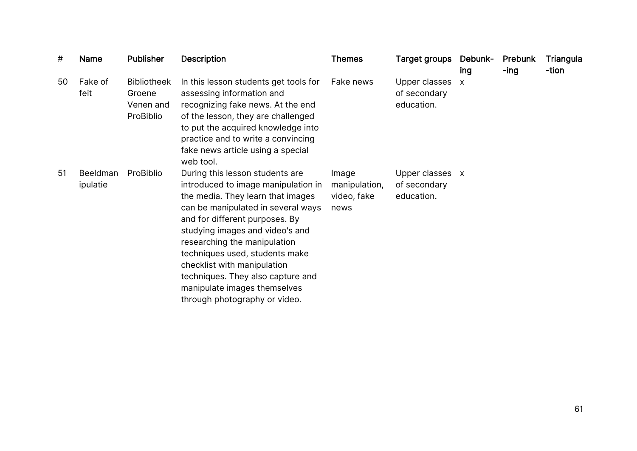| #  | Name                        | <b>Publisher</b>                                       | <b>Description</b>                                                                                                                                                                                                                                                                                                                                                                                                            | <b>Themes</b>                                 | Target groups                                 | Debunk-<br>ing            | Prebunk<br>-ing | Triangula<br>-tion |
|----|-----------------------------|--------------------------------------------------------|-------------------------------------------------------------------------------------------------------------------------------------------------------------------------------------------------------------------------------------------------------------------------------------------------------------------------------------------------------------------------------------------------------------------------------|-----------------------------------------------|-----------------------------------------------|---------------------------|-----------------|--------------------|
| 50 | Fake of<br>feit             | <b>Bibliotheek</b><br>Groene<br>Venen and<br>ProBiblio | In this lesson students get tools for<br>assessing information and<br>recognizing fake news. At the end<br>of the lesson, they are challenged<br>to put the acquired knowledge into<br>practice and to write a convincing<br>fake news article using a special<br>web tool.                                                                                                                                                   | Fake news                                     | Upper classes<br>of secondary<br>education.   | $\boldsymbol{\mathsf{X}}$ |                 |                    |
| 51 | <b>Beeldman</b><br>ipulatie | ProBiblio                                              | During this lesson students are<br>introduced to image manipulation in<br>the media. They learn that images<br>can be manipulated in several ways<br>and for different purposes. By<br>studying images and video's and<br>researching the manipulation<br>techniques used, students make<br>checklist with manipulation<br>techniques. They also capture and<br>manipulate images themselves<br>through photography or video. | Image<br>manipulation,<br>video, fake<br>news | Upper classes x<br>of secondary<br>education. |                           |                 |                    |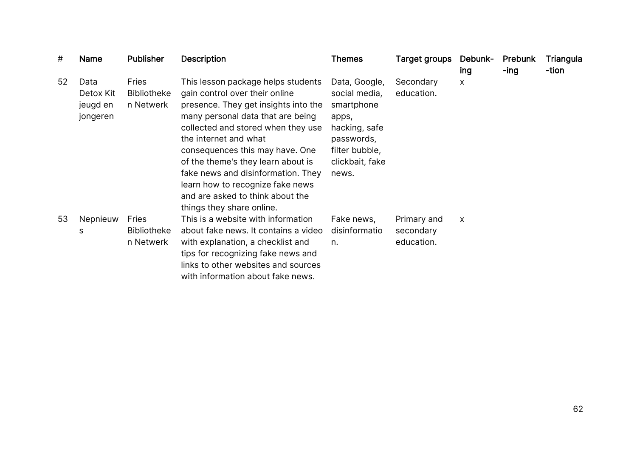| #  | Name                                      | <b>Publisher</b>                                | <b>Description</b>                                                                                                                                                                                                                                                                                                                                                                                                                   | <b>Themes</b>                                                                                                                      | <b>Target groups</b>                   | Debunk-<br>ing | Prebunk<br>-ing | Triangula<br>-tion |
|----|-------------------------------------------|-------------------------------------------------|--------------------------------------------------------------------------------------------------------------------------------------------------------------------------------------------------------------------------------------------------------------------------------------------------------------------------------------------------------------------------------------------------------------------------------------|------------------------------------------------------------------------------------------------------------------------------------|----------------------------------------|----------------|-----------------|--------------------|
| 52 | Data<br>Detox Kit<br>jeugd en<br>jongeren | <b>Fries</b><br><b>Bibliotheke</b><br>n Netwerk | This lesson package helps students<br>gain control over their online<br>presence. They get insights into the<br>many personal data that are being<br>collected and stored when they use<br>the internet and what<br>consequences this may have. One<br>of the theme's they learn about is<br>fake news and disinformation. They<br>learn how to recognize fake news<br>and are asked to think about the<br>things they share online. | Data, Google,<br>social media,<br>smartphone<br>apps,<br>hacking, safe<br>passwords,<br>filter bubble,<br>clickbait, fake<br>news. | Secondary<br>education.                | X              |                 |                    |
| 53 | Nepnieuw<br>S                             | <b>Fries</b><br><b>Bibliotheke</b><br>n Netwerk | This is a website with information<br>about fake news. It contains a video<br>with explanation, a checklist and<br>tips for recognizing fake news and<br>links to other websites and sources<br>with information about fake news.                                                                                                                                                                                                    | Fake news,<br>disinformatio<br>n.                                                                                                  | Primary and<br>secondary<br>education. | X              |                 |                    |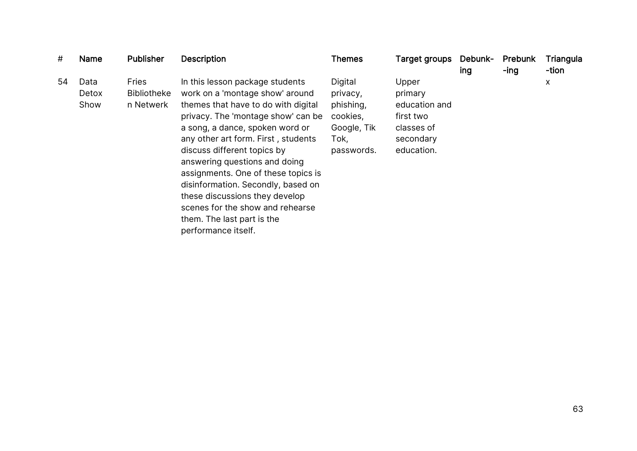| #  | <b>Name</b>           | <b>Publisher</b>                                | <b>Description</b>                                                                                                                                                                                                                                                                                                                                                                                                                                                                                | <b>Themes</b>                                                                     | Target groups                                                                           | Debunk-<br>ing | Prebunk<br>-ing | Triangula<br>-tion |
|----|-----------------------|-------------------------------------------------|---------------------------------------------------------------------------------------------------------------------------------------------------------------------------------------------------------------------------------------------------------------------------------------------------------------------------------------------------------------------------------------------------------------------------------------------------------------------------------------------------|-----------------------------------------------------------------------------------|-----------------------------------------------------------------------------------------|----------------|-----------------|--------------------|
| 54 | Data<br>Detox<br>Show | <b>Fries</b><br><b>Bibliotheke</b><br>n Netwerk | In this lesson package students<br>work on a 'montage show' around<br>themes that have to do with digital<br>privacy. The 'montage show' can be<br>a song, a dance, spoken word or<br>any other art form. First, students<br>discuss different topics by<br>answering questions and doing<br>assignments. One of these topics is<br>disinformation. Secondly, based on<br>these discussions they develop<br>scenes for the show and rehearse<br>them. The last part is the<br>performance itself. | Digital<br>privacy,<br>phishing,<br>cookies,<br>Google, Tik<br>Tok,<br>passwords. | Upper<br>primary<br>education and<br>first two<br>classes of<br>secondary<br>education. |                |                 | X                  |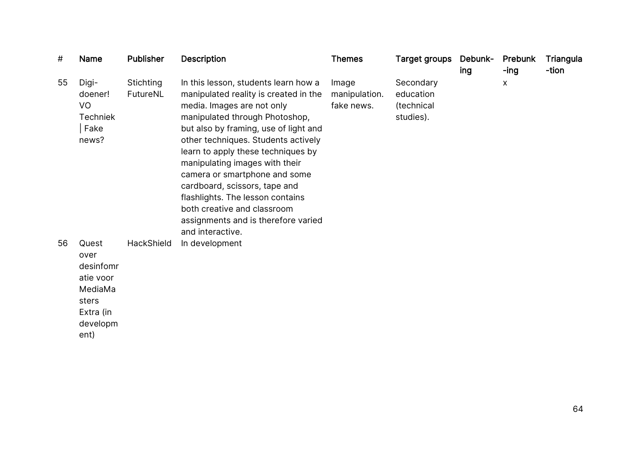| #  | <b>Name</b>                                                                                  | <b>Publisher</b>      | <b>Description</b>                                                                                                                                                                                                                                                                                                                                                                                                                                                                                    | <b>Themes</b>                        | <b>Target groups</b>                              | Debunk-<br>ing | Prebunk<br>-ing | Triangula<br>-tion |
|----|----------------------------------------------------------------------------------------------|-----------------------|-------------------------------------------------------------------------------------------------------------------------------------------------------------------------------------------------------------------------------------------------------------------------------------------------------------------------------------------------------------------------------------------------------------------------------------------------------------------------------------------------------|--------------------------------------|---------------------------------------------------|----------------|-----------------|--------------------|
| 55 | Digi-<br>doener!<br>VO<br><b>Techniek</b><br>Fake<br>news?                                   | Stichting<br>FutureNL | In this lesson, students learn how a<br>manipulated reality is created in the<br>media. Images are not only<br>manipulated through Photoshop,<br>but also by framing, use of light and<br>other techniques. Students actively<br>learn to apply these techniques by<br>manipulating images with their<br>camera or smartphone and some<br>cardboard, scissors, tape and<br>flashlights. The lesson contains<br>both creative and classroom<br>assignments and is therefore varied<br>and interactive. | Image<br>manipulation.<br>fake news. | Secondary<br>education<br>(technical<br>studies). |                | X               |                    |
| 56 | Quest<br>over<br>desinfomr<br>atie voor<br>MediaMa<br>sters<br>Extra (in<br>developm<br>ent) | HackShield            | In development                                                                                                                                                                                                                                                                                                                                                                                                                                                                                        |                                      |                                                   |                |                 |                    |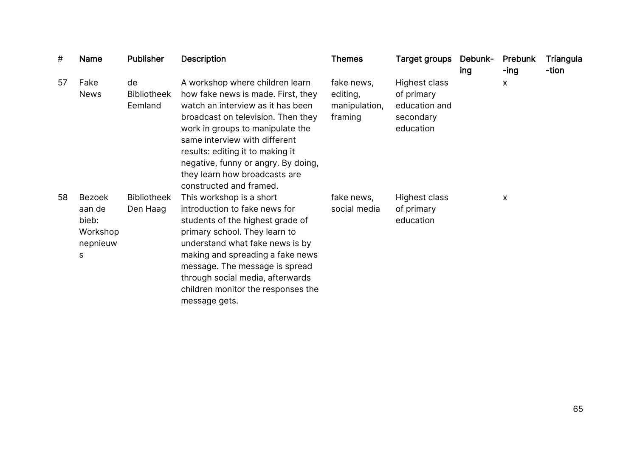| #  | Name                                                   | <b>Publisher</b>                    | <b>Description</b>                                                                                                                                                                                                                                                                                                                                           | <b>Themes</b>                                      | <b>Target groups</b>                                                          | Debunk-<br>ing | Prebunk<br>-ing | Triangula<br>-tion |
|----|--------------------------------------------------------|-------------------------------------|--------------------------------------------------------------------------------------------------------------------------------------------------------------------------------------------------------------------------------------------------------------------------------------------------------------------------------------------------------------|----------------------------------------------------|-------------------------------------------------------------------------------|----------------|-----------------|--------------------|
| 57 | Fake<br><b>News</b>                                    | de<br><b>Bibliotheek</b><br>Eemland | A workshop where children learn<br>how fake news is made. First, they<br>watch an interview as it has been<br>broadcast on television. Then they<br>work in groups to manipulate the<br>same interview with different<br>results: editing it to making it<br>negative, funny or angry. By doing,<br>they learn how broadcasts are<br>constructed and framed. | fake news,<br>editing,<br>manipulation,<br>framing | <b>Highest class</b><br>of primary<br>education and<br>secondary<br>education |                | $\mathsf{x}$    |                    |
| 58 | Bezoek<br>aan de<br>bieb:<br>Workshop<br>nepnieuw<br>s | <b>Bibliotheek</b><br>Den Haag      | This workshop is a short<br>introduction to fake news for<br>students of the highest grade of<br>primary school. They learn to<br>understand what fake news is by<br>making and spreading a fake news<br>message. The message is spread<br>through social media, afterwards<br>children monitor the responses the<br>message gets.                           | fake news,<br>social media                         | Highest class<br>of primary<br>education                                      |                | X               |                    |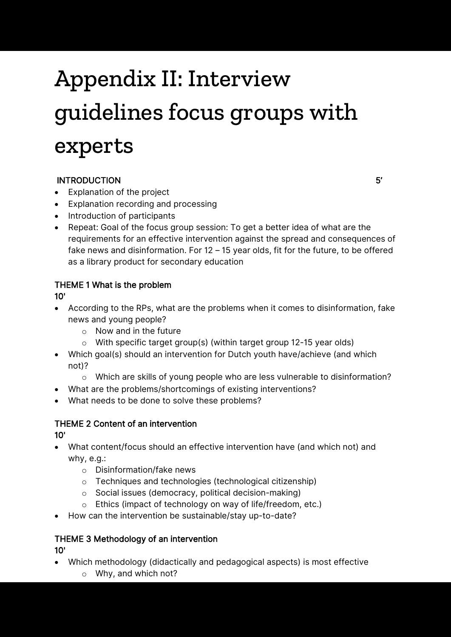## Appendix II: Interview guidelines focus groups with experts

#### INTRODUCTION 5'

- Explanation of the project
- Explanation recording and processing
- Introduction of participants
- Repeat: Goal of the focus group session: To get a better idea of what are the requirements for an effective intervention against the spread and consequences of fake news and disinformation. For 12 – 15 year olds, fit for the future, to be offered as a library product for secondary education

#### THEME 1 What is the problem

10'

- According to the RPs, what are the problems when it comes to disinformation, fake news and young people?
	- o Now and in the future
	- o With specific target group(s) (within target group 12-15 year olds)
- Which goal(s) should an intervention for Dutch youth have/achieve (and which not)?
	- $\circ$  Which are skills of young people who are less vulnerable to disinformation?
- What are the problems/shortcomings of existing interventions?
- What needs to be done to solve these problems?

#### THEME 2 Content of an intervention 10'

- What content/focus should an effective intervention have (and which not) and why, e.g.:
	- o Disinformation/fake news
	- o Techniques and technologies (technological citizenship)
	- o Social issues (democracy, political decision-making)
	- o Ethics (impact of technology on way of life/freedom, etc.)
- How can the intervention be sustainable/stay up-to-date?

#### THEME 3 Methodology of an intervention

10'

- Which methodology (didactically and pedagogical aspects) is most effective
	- o Why, and which not?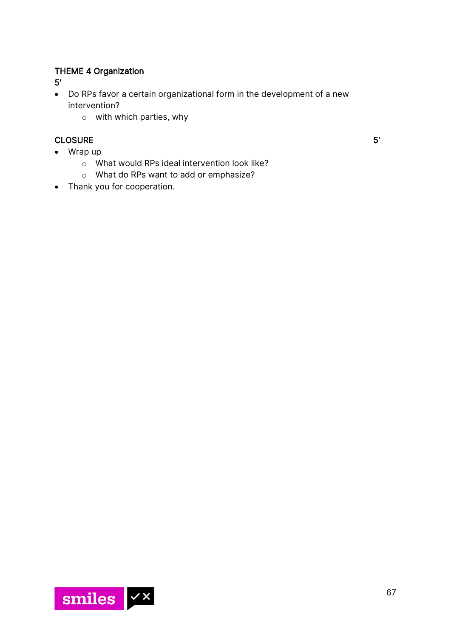#### THEME 4 Organization

5'

- Do RPs favor a certain organizational form in the development of a new intervention?
	- o with which parties, why

#### CLOSURE 5'

- Wrap up
	- o What would RPs ideal intervention look like?
	- o What do RPs want to add or emphasize?
- Thank you for cooperation.

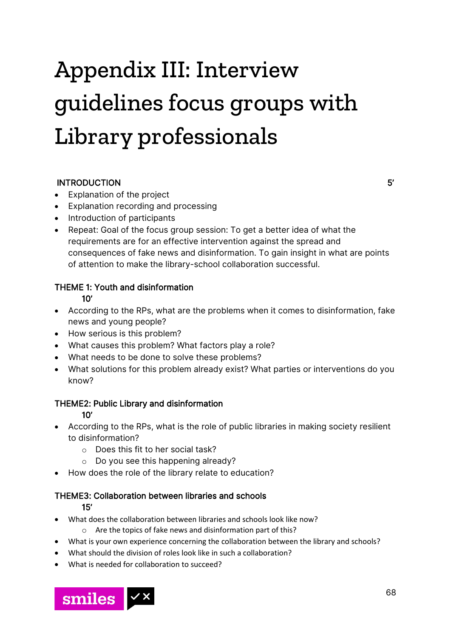## Appendix III: Interview guidelines focus groups with Library professionals

#### INTRODUCTION 5'

- Explanation of the project
- Explanation recording and processing
- Introduction of participants
- Repeat: Goal of the focus group session: To get a better idea of what the requirements are for an effective intervention against the spread and consequences of fake news and disinformation. To gain insight in what are points of attention to make the library-school collaboration successful.

#### THEME 1: Youth and disinformation

10'

- According to the RPs, what are the problems when it comes to disinformation, fake news and young people?
- How serious is this problem?
- What causes this problem? What factors play a role?
- What needs to be done to solve these problems?
- What solutions for this problem already exist? What parties or interventions do you know?

#### THEME2: Public Library and disinformation

10'

- According to the RPs, what is the role of public libraries in making society resilient to disinformation?
	- o Does this fit to her social task?
	- o Do you see this happening already?
- How does the role of the library relate to education?

#### THEME3: Collaboration between libraries and schools

15'

- What does the collaboration between libraries and schools look like now?
	- o Are the topics of fake news and disinformation part of this?
- What is your own experience concerning the collaboration between the library and schools?
- What should the division of roles look like in such a collaboration?
- What is needed for collaboration to succeed?

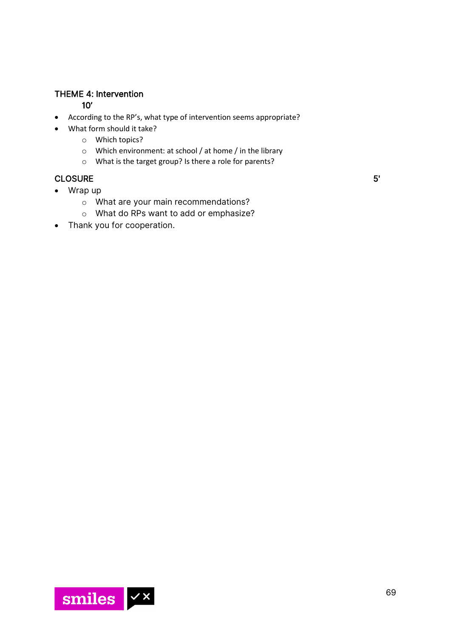#### THEME 4: Intervention

#### 10'

- According to the RP's, what type of intervention seems appropriate?
- What form should it take?
	- o Which topics?
	- o Which environment: at school / at home / in the library
	- o What is the target group? Is there a role for parents?

#### CLOSURE 5'

- Wrap up
	- o What are your main recommendations?
	- o What do RPs want to add or emphasize?
- Thank you for cooperation.

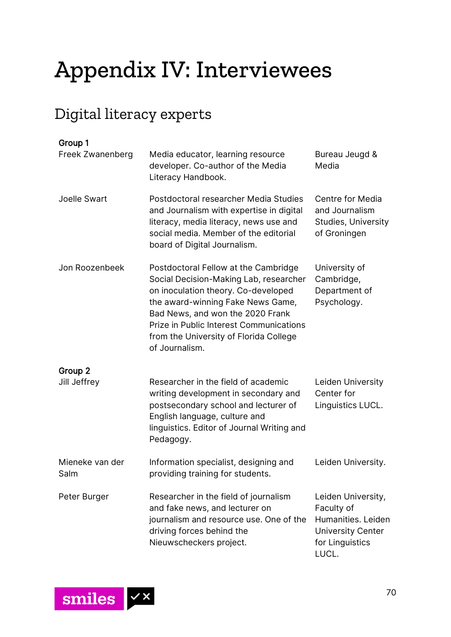## Appendix IV: Interviewees

## Digital literacy experts

| Group 1<br>Freek Zwanenberg | Media educator, learning resource<br>developer. Co-author of the Media<br>Literacy Handbook.                                                                                                                                                                                                                 | Bureau Jeugd &<br>Media                                                                                        |
|-----------------------------|--------------------------------------------------------------------------------------------------------------------------------------------------------------------------------------------------------------------------------------------------------------------------------------------------------------|----------------------------------------------------------------------------------------------------------------|
| Joelle Swart                | Postdoctoral researcher Media Studies<br>and Journalism with expertise in digital<br>literacy, media literacy, news use and<br>social media. Member of the editorial<br>board of Digital Journalism.                                                                                                         | Centre for Media<br>and Journalism<br><b>Studies, University</b><br>of Groningen                               |
| Jon Roozenbeek              | Postdoctoral Fellow at the Cambridge<br>Social Decision-Making Lab, researcher<br>on inoculation theory. Co-developed<br>the award-winning Fake News Game,<br>Bad News, and won the 2020 Frank<br><b>Prize in Public Interest Communications</b><br>from the University of Florida College<br>of Journalism. | University of<br>Cambridge,<br>Department of<br>Psychology.                                                    |
| Group 2<br>Jill Jeffrey     | Researcher in the field of academic<br>writing development in secondary and<br>postsecondary school and lecturer of<br>English language, culture and<br>linguistics. Editor of Journal Writing and<br>Pedagogy.                                                                                              | Leiden University<br>Center for<br>Linguistics LUCL.                                                           |
| Mieneke van der<br>Salm     | Information specialist, designing and<br>providing training for students.                                                                                                                                                                                                                                    | Leiden University.                                                                                             |
| Peter Burger                | Researcher in the field of journalism<br>and fake news, and lecturer on<br>journalism and resource use. One of the<br>driving forces behind the<br>Nieuwscheckers project.                                                                                                                                   | Leiden University,<br>Faculty of<br>Humanities. Leiden<br><b>University Center</b><br>for Linguistics<br>LUCL. |